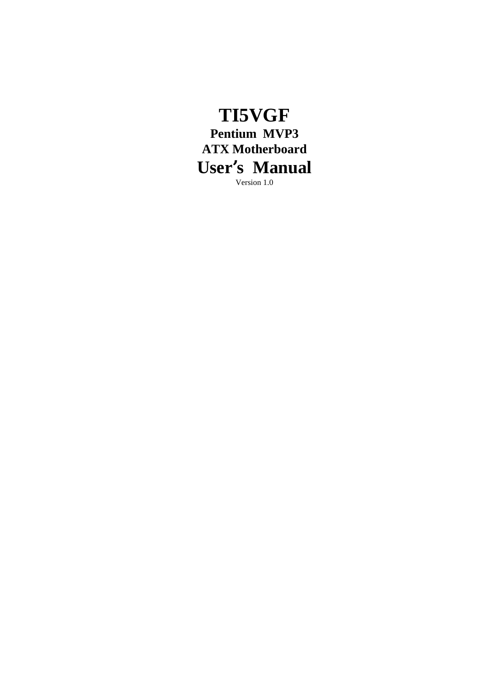Version 1.0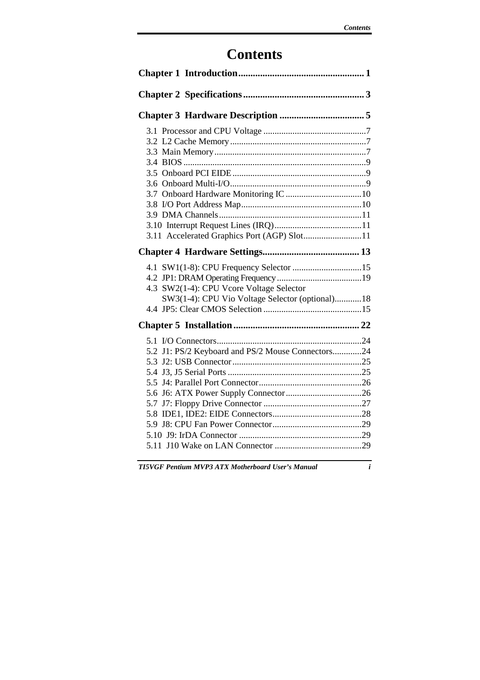# **Contents**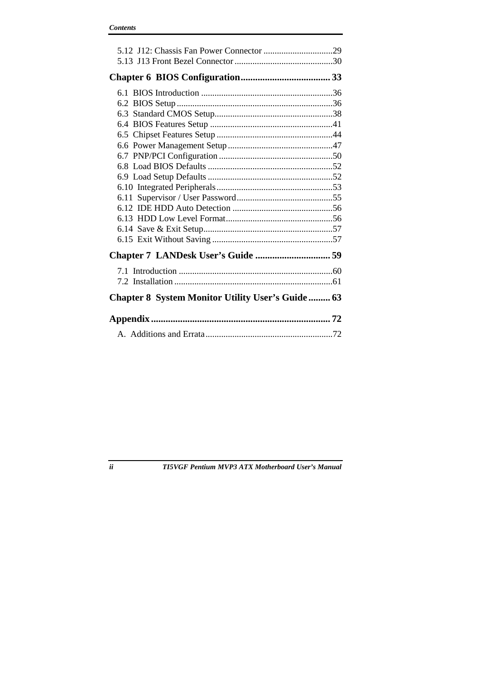| <b>Chapter 8 System Monitor Utility User's Guide  63</b> |
|----------------------------------------------------------|
|                                                          |
|                                                          |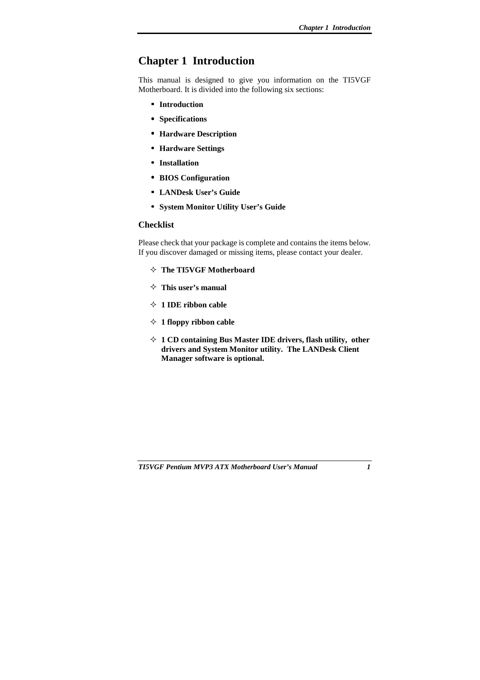# **Chapter 1 Introduction**

This manual is designed to give you information on the TI5VGF Motherboard. It is divided into the following six sections:

- **Introduction**
- **Specifications**
- **Hardware Description**
- **Hardware Settings**
- **Installation**
- **BIOS Configuration**
- **LANDesk User's Guide**
- **System Monitor Utility User's Guide**

### **Checklist**

Please check that your package is complete and contains the items below. If you discover damaged or missing items, please contact your dealer.

- **The TI5VGF Motherboard**
- **This user's manual**
- **1 IDE ribbon cable**
- **1 floppy ribbon cable**
- **1 CD containing Bus Master IDE drivers, flash utility, other drivers and System Monitor utility. The LANDesk Client Manager software is optional.**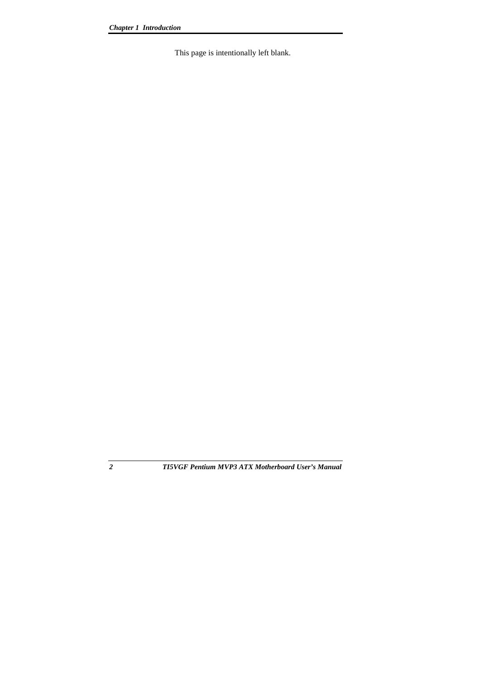This page is intentionally left blank.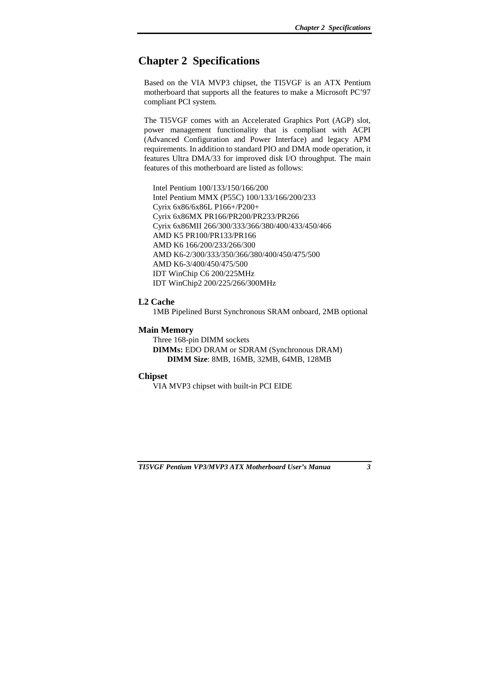# **Chapter 2 Specifications**

Based on the VIA MVP3 chipset, the TI5VGF is an ATX Pentium motherboard that supports all the features to make a Microsoft PC'97 compliant PCI system.

The TI5VGF comes with an Accelerated Graphics Port (AGP) slot, power management functionality that is compliant with ACPI (Advanced Configuration and Power Interface) and legacy APM requirements. In addition to standard PIO and DMA mode operation, it features Ultra DMA/33 for improved disk I/O throughput. The main features of this motherboard are listed as follows:

Intel Pentium 100/133/150/166/200 Intel Pentium MMX (P55C) 100/133/166/200/233 Cyrix 6x86/6x86L P166+/P200+ Cyrix 6x86MX PR166/PR200/PR233/PR266 Cyrix 6x86MII 266/300/333/366/380/400/433/450/466 AMD K5 PR100/PR133/PR166 AMD K6 166/200/233/266/300 AMD K6-2/300/333/350/366/380/400/450/475/500 AMD K6-3/400/450/475/500 IDT WinChip C6 200/225MHz IDT WinChip2 200/225/266/300MHz

### **L2 Cache**

1MB Pipelined Burst Synchronous SRAM onboard, 2MB optional

### **Main Memory**

 Three 168-pin DIMM sockets **DIMMs:** EDO DRAM or SDRAM (Synchronous DRAM)  **DIMM Size**: 8MB, 16MB, 32MB, 64MB, 128MB

### **Chipset**

VIA MVP3 chipset with built-in PCI EIDE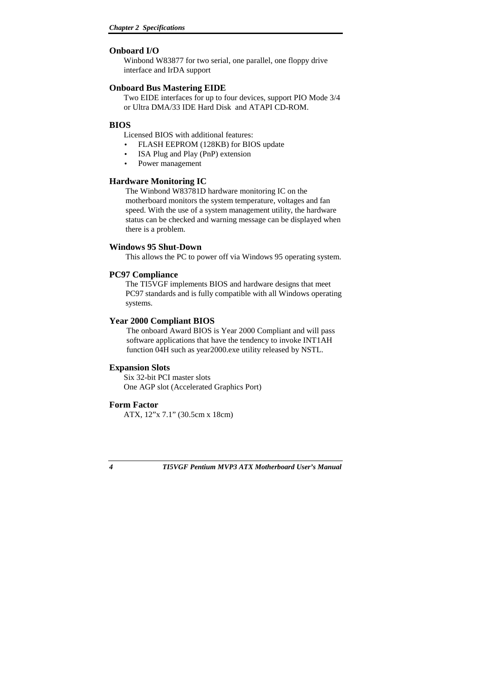### **Onboard I/O**

Winbond W83877 for two serial, one parallel, one floppy drive interface and IrDA support

### **Onboard Bus Mastering EIDE**

Two EIDE interfaces for up to four devices, support PIO Mode 3/4 or Ultra DMA/33 IDE Hard Disk and ATAPI CD-ROM.

### **BIOS**

Licensed BIOS with additional features:

- FLASH EEPROM (128KB) for BIOS update
- ISA Plug and Play (PnP) extension
- Power management

### **Hardware Monitoring IC**

The Winbond W83781D hardware monitoring IC on the motherboard monitors the system temperature, voltages and fan speed. With the use of a system management utility, the hardware status can be checked and warning message can be displayed when there is a problem.

### **Windows 95 Shut-Down**

This allows the PC to power off via Windows 95 operating system.

### **PC97 Compliance**

The TI5VGF implements BIOS and hardware designs that meet PC97 standards and is fully compatible with all Windows operating systems.

### **Year 2000 Compliant BIOS**

The onboard Award BIOS is Year 2000 Compliant and will pass software applications that have the tendency to invoke INT1AH function 04H such as year2000.exe utility released by NSTL.

### **Expansion Slots**

Six 32-bit PCI master slots One AGP slot (Accelerated Graphics Port)

# **Form Factor**

ATX, 12"x 7.1" (30.5cm x 18cm)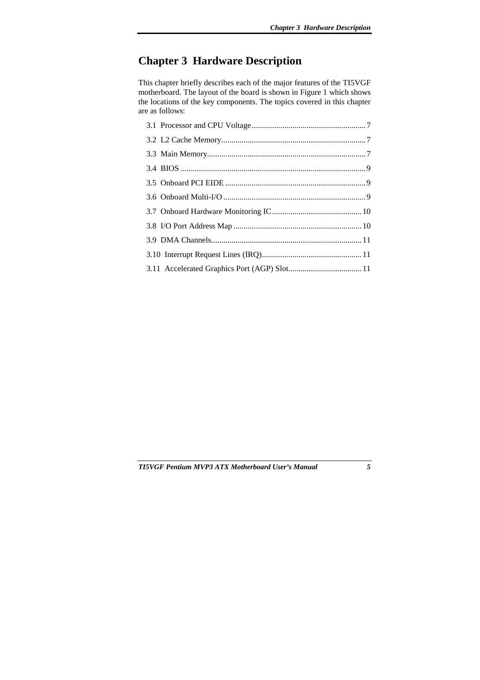# **Chapter 3 Hardware Description**

This chapter briefly describes each of the major features of the TI5VGF motherboard. The layout of the board is shown in Figure 1 which shows the locations of the key components. The topics covered in this chapter are as follows: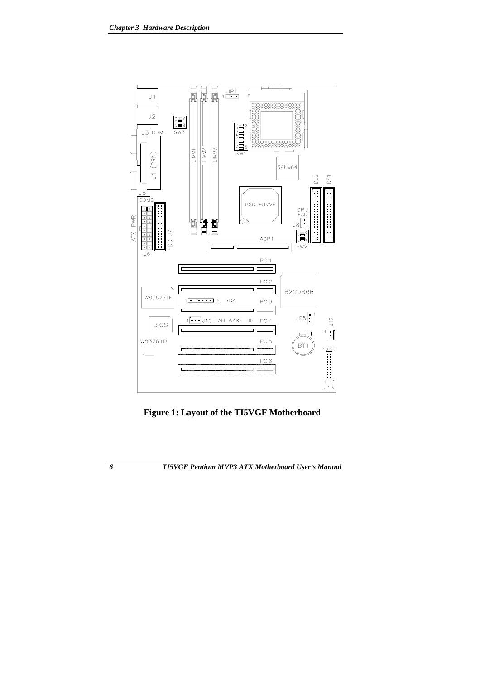

**Figure 1: Layout of the TI5VGF Motherboard**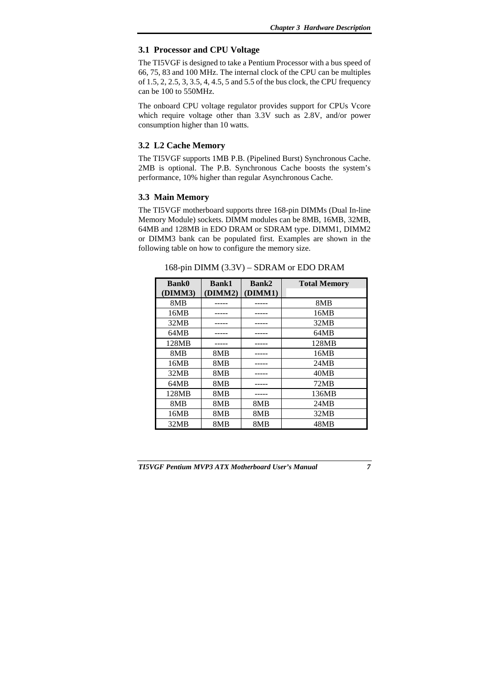### **3.1 Processor and CPU Voltage**

The TI5VGF is designed to take a Pentium Processor with a bus speed of 66, 75, 83 and 100 MHz. The internal clock of the CPU can be multiples of 1.5, 2, 2.5, 3, 3.5, 4, 4.5, 5 and 5.5 of the bus clock, the CPU frequency can be 100 to 550MHz.

The onboard CPU voltage regulator provides support for CPUs Vcore which require voltage other than 3.3V such as 2.8V, and/or power consumption higher than 10 watts.

### **3.2 L2 Cache Memory**

The TI5VGF supports 1MB P.B. (Pipelined Burst) Synchronous Cache. 2MB is optional. The P.B. Synchronous Cache boosts the system's performance, 10% higher than regular Asynchronous Cache.

### **3.3 Main Memory**

The TI5VGF motherboard supports three 168-pin DIMMs (Dual In-line Memory Module) sockets. DIMM modules can be 8MB, 16MB, 32MB, 64MB and 128MB in EDO DRAM or SDRAM type. DIMM1, DIMM2 or DIMM3 bank can be populated first. Examples are shown in the following table on how to configure the memory size.

168-pin DIMM (3.3V) – SDRAM or EDO DRAM

| <b>Bank0</b> | <b>Bank1</b>    | Bank2   | <b>Total Memory</b> |
|--------------|-----------------|---------|---------------------|
| (DIMM3)      | (DIMM2)         | (DIMM1) |                     |
| 8MB          |                 |         | 8MB                 |
| 16MB         |                 |         | 16MB                |
| 32MB         |                 |         | 32MB                |
| 64MB         |                 |         | 64MB                |
| 128MB        |                 |         | 128MB               |
| 8MB          | 8MB             |         | 16MB                |
| 16MB         | 8MB             |         | 24MB                |
| 32MB         | 8MB             |         | 40MB                |
| 64MB         | 8M <sub>B</sub> |         | 72MB                |
| 128MB        | 8MB             |         | 136MB               |
| 8MB          | 8MB             | 8MB     | 24MB                |
| 16MB         | 8MB             | 8MB     | 32MB                |
| 32MB         | 8MB             | 8MB     | 48MB                |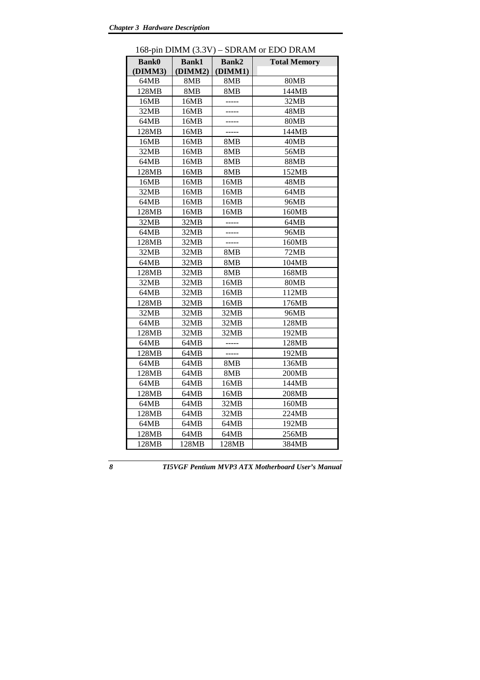| (DIMM3)<br>(DIMM2)<br>(DIMM1)<br><b>80MB</b><br>64MB<br>8MB<br>8MB<br>128MB<br>8MB<br>8MB<br>144MB<br>16MB<br>16MB<br>32MB<br>-----<br>32MB<br>16MB<br>48MB<br>-----<br>64MB<br>16MB<br><b>80MB</b><br>-----<br>128MB<br>16MB<br>144MB<br>-----<br>16MB<br>16MB<br>40MB<br>8MB<br>32MB<br>16MB<br>56MB<br>8MB<br>64MB<br>16MB<br>8MB<br>88MB<br>128MB<br>152MB<br>16MB<br>8MB<br>16MB<br>16MB<br>16MB<br>48MB<br>32MB<br>16MB<br>16MB<br>64MB<br>64MB<br>96MB<br>16MB<br>16MB<br>128MB<br>16MB<br>16MB<br>160MB<br>32MB<br>32MB<br>64MB<br>-----<br>64MB<br>32MB<br>96MB<br>-----<br>128MB<br>32MB<br>160MB<br>32MB<br>32MB<br>8MB<br>72MB<br>64MB<br>32MB<br>8MB<br>104MB<br>128MB<br>32MB<br>8MB<br>168MB<br>32MB<br>32MB<br>16MB<br><b>80MB</b><br>64MB<br>32MB<br>16MB<br>112MB<br>128MB<br>32MB<br>16MB<br>176MB<br>32MB<br>32MB<br>32MB<br>96MB<br>64MB<br>32MB<br>32MB<br>128MB<br>128MB<br>32MB<br>32MB<br>192MB<br>64MB<br>64MB<br>128MB<br>$- - - -$<br>128MB<br>64MB<br>192MB<br>-----<br>64MB<br>64MB<br>136MB<br>8MB<br>128MB<br>64MB<br>8MB<br>200MB<br>64MB<br>64MB<br>16MB<br>144MB<br>128MB<br>64MB<br>16MB<br>208MB<br>64MB<br>64MB<br>32MB<br>160MB<br>128MB<br>64MB<br>32MB<br>224MB<br>64MB<br>64MB<br>64MB<br>192MB<br>128MB<br>64MB<br>64MB<br>256MB | <b>Bank0</b> | <b>Bank1</b> | <b>Bank2</b> | <b>Total Memory</b> |  |
|-----------------------------------------------------------------------------------------------------------------------------------------------------------------------------------------------------------------------------------------------------------------------------------------------------------------------------------------------------------------------------------------------------------------------------------------------------------------------------------------------------------------------------------------------------------------------------------------------------------------------------------------------------------------------------------------------------------------------------------------------------------------------------------------------------------------------------------------------------------------------------------------------------------------------------------------------------------------------------------------------------------------------------------------------------------------------------------------------------------------------------------------------------------------------------------------------------------------------------------------------------------------------------|--------------|--------------|--------------|---------------------|--|
|                                                                                                                                                                                                                                                                                                                                                                                                                                                                                                                                                                                                                                                                                                                                                                                                                                                                                                                                                                                                                                                                                                                                                                                                                                                                             |              |              |              |                     |  |
|                                                                                                                                                                                                                                                                                                                                                                                                                                                                                                                                                                                                                                                                                                                                                                                                                                                                                                                                                                                                                                                                                                                                                                                                                                                                             |              |              |              |                     |  |
|                                                                                                                                                                                                                                                                                                                                                                                                                                                                                                                                                                                                                                                                                                                                                                                                                                                                                                                                                                                                                                                                                                                                                                                                                                                                             |              |              |              |                     |  |
|                                                                                                                                                                                                                                                                                                                                                                                                                                                                                                                                                                                                                                                                                                                                                                                                                                                                                                                                                                                                                                                                                                                                                                                                                                                                             |              |              |              |                     |  |
|                                                                                                                                                                                                                                                                                                                                                                                                                                                                                                                                                                                                                                                                                                                                                                                                                                                                                                                                                                                                                                                                                                                                                                                                                                                                             |              |              |              |                     |  |
|                                                                                                                                                                                                                                                                                                                                                                                                                                                                                                                                                                                                                                                                                                                                                                                                                                                                                                                                                                                                                                                                                                                                                                                                                                                                             |              |              |              |                     |  |
|                                                                                                                                                                                                                                                                                                                                                                                                                                                                                                                                                                                                                                                                                                                                                                                                                                                                                                                                                                                                                                                                                                                                                                                                                                                                             |              |              |              |                     |  |
|                                                                                                                                                                                                                                                                                                                                                                                                                                                                                                                                                                                                                                                                                                                                                                                                                                                                                                                                                                                                                                                                                                                                                                                                                                                                             |              |              |              |                     |  |
|                                                                                                                                                                                                                                                                                                                                                                                                                                                                                                                                                                                                                                                                                                                                                                                                                                                                                                                                                                                                                                                                                                                                                                                                                                                                             |              |              |              |                     |  |
|                                                                                                                                                                                                                                                                                                                                                                                                                                                                                                                                                                                                                                                                                                                                                                                                                                                                                                                                                                                                                                                                                                                                                                                                                                                                             |              |              |              |                     |  |
|                                                                                                                                                                                                                                                                                                                                                                                                                                                                                                                                                                                                                                                                                                                                                                                                                                                                                                                                                                                                                                                                                                                                                                                                                                                                             |              |              |              |                     |  |
|                                                                                                                                                                                                                                                                                                                                                                                                                                                                                                                                                                                                                                                                                                                                                                                                                                                                                                                                                                                                                                                                                                                                                                                                                                                                             |              |              |              |                     |  |
|                                                                                                                                                                                                                                                                                                                                                                                                                                                                                                                                                                                                                                                                                                                                                                                                                                                                                                                                                                                                                                                                                                                                                                                                                                                                             |              |              |              |                     |  |
|                                                                                                                                                                                                                                                                                                                                                                                                                                                                                                                                                                                                                                                                                                                                                                                                                                                                                                                                                                                                                                                                                                                                                                                                                                                                             |              |              |              |                     |  |
|                                                                                                                                                                                                                                                                                                                                                                                                                                                                                                                                                                                                                                                                                                                                                                                                                                                                                                                                                                                                                                                                                                                                                                                                                                                                             |              |              |              |                     |  |
|                                                                                                                                                                                                                                                                                                                                                                                                                                                                                                                                                                                                                                                                                                                                                                                                                                                                                                                                                                                                                                                                                                                                                                                                                                                                             |              |              |              |                     |  |
|                                                                                                                                                                                                                                                                                                                                                                                                                                                                                                                                                                                                                                                                                                                                                                                                                                                                                                                                                                                                                                                                                                                                                                                                                                                                             |              |              |              |                     |  |
|                                                                                                                                                                                                                                                                                                                                                                                                                                                                                                                                                                                                                                                                                                                                                                                                                                                                                                                                                                                                                                                                                                                                                                                                                                                                             |              |              |              |                     |  |
|                                                                                                                                                                                                                                                                                                                                                                                                                                                                                                                                                                                                                                                                                                                                                                                                                                                                                                                                                                                                                                                                                                                                                                                                                                                                             |              |              |              |                     |  |
|                                                                                                                                                                                                                                                                                                                                                                                                                                                                                                                                                                                                                                                                                                                                                                                                                                                                                                                                                                                                                                                                                                                                                                                                                                                                             |              |              |              |                     |  |
|                                                                                                                                                                                                                                                                                                                                                                                                                                                                                                                                                                                                                                                                                                                                                                                                                                                                                                                                                                                                                                                                                                                                                                                                                                                                             |              |              |              |                     |  |
|                                                                                                                                                                                                                                                                                                                                                                                                                                                                                                                                                                                                                                                                                                                                                                                                                                                                                                                                                                                                                                                                                                                                                                                                                                                                             |              |              |              |                     |  |
|                                                                                                                                                                                                                                                                                                                                                                                                                                                                                                                                                                                                                                                                                                                                                                                                                                                                                                                                                                                                                                                                                                                                                                                                                                                                             |              |              |              |                     |  |
|                                                                                                                                                                                                                                                                                                                                                                                                                                                                                                                                                                                                                                                                                                                                                                                                                                                                                                                                                                                                                                                                                                                                                                                                                                                                             |              |              |              |                     |  |
|                                                                                                                                                                                                                                                                                                                                                                                                                                                                                                                                                                                                                                                                                                                                                                                                                                                                                                                                                                                                                                                                                                                                                                                                                                                                             |              |              |              |                     |  |
|                                                                                                                                                                                                                                                                                                                                                                                                                                                                                                                                                                                                                                                                                                                                                                                                                                                                                                                                                                                                                                                                                                                                                                                                                                                                             |              |              |              |                     |  |
|                                                                                                                                                                                                                                                                                                                                                                                                                                                                                                                                                                                                                                                                                                                                                                                                                                                                                                                                                                                                                                                                                                                                                                                                                                                                             |              |              |              |                     |  |
|                                                                                                                                                                                                                                                                                                                                                                                                                                                                                                                                                                                                                                                                                                                                                                                                                                                                                                                                                                                                                                                                                                                                                                                                                                                                             |              |              |              |                     |  |
|                                                                                                                                                                                                                                                                                                                                                                                                                                                                                                                                                                                                                                                                                                                                                                                                                                                                                                                                                                                                                                                                                                                                                                                                                                                                             |              |              |              |                     |  |
|                                                                                                                                                                                                                                                                                                                                                                                                                                                                                                                                                                                                                                                                                                                                                                                                                                                                                                                                                                                                                                                                                                                                                                                                                                                                             |              |              |              |                     |  |
|                                                                                                                                                                                                                                                                                                                                                                                                                                                                                                                                                                                                                                                                                                                                                                                                                                                                                                                                                                                                                                                                                                                                                                                                                                                                             |              |              |              |                     |  |
|                                                                                                                                                                                                                                                                                                                                                                                                                                                                                                                                                                                                                                                                                                                                                                                                                                                                                                                                                                                                                                                                                                                                                                                                                                                                             |              |              |              |                     |  |
|                                                                                                                                                                                                                                                                                                                                                                                                                                                                                                                                                                                                                                                                                                                                                                                                                                                                                                                                                                                                                                                                                                                                                                                                                                                                             |              |              |              |                     |  |
|                                                                                                                                                                                                                                                                                                                                                                                                                                                                                                                                                                                                                                                                                                                                                                                                                                                                                                                                                                                                                                                                                                                                                                                                                                                                             |              |              |              |                     |  |
|                                                                                                                                                                                                                                                                                                                                                                                                                                                                                                                                                                                                                                                                                                                                                                                                                                                                                                                                                                                                                                                                                                                                                                                                                                                                             |              |              |              |                     |  |
|                                                                                                                                                                                                                                                                                                                                                                                                                                                                                                                                                                                                                                                                                                                                                                                                                                                                                                                                                                                                                                                                                                                                                                                                                                                                             |              |              |              |                     |  |
|                                                                                                                                                                                                                                                                                                                                                                                                                                                                                                                                                                                                                                                                                                                                                                                                                                                                                                                                                                                                                                                                                                                                                                                                                                                                             |              |              |              |                     |  |
| 128MB<br>128MB<br>384MB                                                                                                                                                                                                                                                                                                                                                                                                                                                                                                                                                                                                                                                                                                                                                                                                                                                                                                                                                                                                                                                                                                                                                                                                                                                     | 128MB        |              |              |                     |  |

168-pin DIMM (3.3V) – SDRAM or EDO DRAM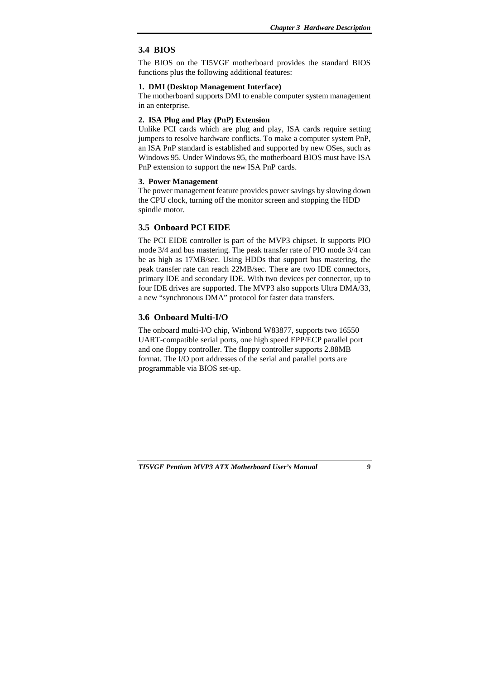# **3.4 BIOS**

The BIOS on the TI5VGF motherboard provides the standard BIOS functions plus the following additional features:

#### **1. DMI (Desktop Management Interface)**

The motherboard supports DMI to enable computer system management in an enterprise.

#### **2. ISA Plug and Play (PnP) Extension**

Unlike PCI cards which are plug and play, ISA cards require setting jumpers to resolve hardware conflicts. To make a computer system PnP, an ISA PnP standard is established and supported by new OSes, such as Windows 95. Under Windows 95, the motherboard BIOS must have ISA PnP extension to support the new ISA PnP cards.

### **3. Power Management**

The power management feature provides power savings by slowing down the CPU clock, turning off the monitor screen and stopping the HDD spindle motor.

# **3.5 Onboard PCI EIDE**

The PCI EIDE controller is part of the MVP3 chipset. It supports PIO mode 3/4 and bus mastering. The peak transfer rate of PIO mode 3/4 can be as high as 17MB/sec. Using HDDs that support bus mastering, the peak transfer rate can reach 22MB/sec. There are two IDE connectors, primary IDE and secondary IDE. With two devices per connector, up to four IDE drives are supported. The MVP3 also supports Ultra DMA/33, a new "synchronous DMA" protocol for faster data transfers.

# **3.6 Onboard Multi-I/O**

The onboard multi-I/O chip, Winbond W83877, supports two 16550 UART-compatible serial ports, one high speed EPP/ECP parallel port and one floppy controller. The floppy controller supports 2.88MB format. The I/O port addresses of the serial and parallel ports are programmable via BIOS set-up.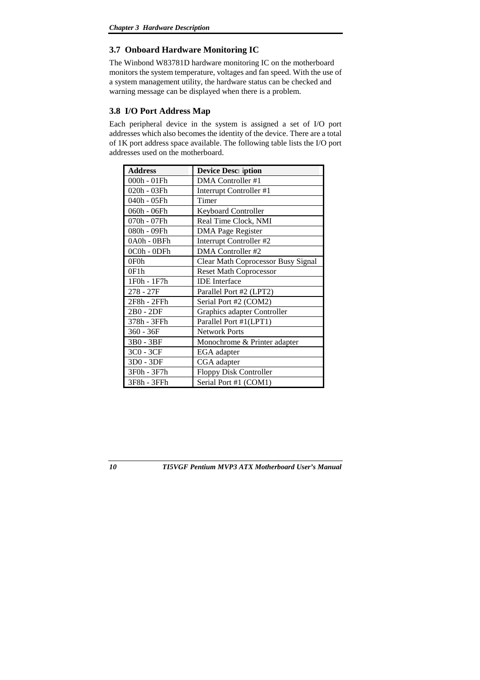# **3.7 Onboard Hardware Monitoring IC**

The Winbond W83781D hardware monitoring IC on the motherboard monitors the system temperature, voltages and fan speed. With the use of a system management utility, the hardware status can be checked and warning message can be displayed when there is a problem.

# **3.8 I/O Port Address Map**

Each peripheral device in the system is assigned a set of I/O port addresses which also becomes the identity of the device. There are a total of 1K port address space available. The following table lists the I/O port addresses used on the motherboard.

| <b>Address</b> | Device Desci iption                |
|----------------|------------------------------------|
| 000h - 01Fh    | DMA Controller #1                  |
| 020h - 03Fh    | Interrupt Controller #1            |
| 040h - 05Fh    | Timer                              |
| 060h - 06Fh    | <b>Keyboard Controller</b>         |
| 070h - 07Fh    | Real Time Clock, NMI               |
| 080h - 09Fh    | <b>DMA Page Register</b>           |
| 0A0h - 0BFh    | Interrupt Controller #2            |
| 0C0h - 0DFh    | DMA Controller #2                  |
| 0F0h           | Clear Math Coprocessor Busy Signal |
| 0F1h           | <b>Reset Math Coprocessor</b>      |
| 1F0h - 1F7h    | <b>IDE</b> Interface               |
| $278 - 27F$    | Parallel Port #2 (LPT2)            |
| 2F8h - 2FFh    | Serial Port #2 (COM2)              |
| 2B0 - 2DF      | Graphics adapter Controller        |
| 378h - 3FFh    | Parallel Port #1(LPT1)             |
| $360 - 36F$    | <b>Network Ports</b>               |
| 3B0 - 3BF      | Monochrome & Printer adapter       |
| 3C0 - 3CF      | EGA adapter                        |
| 3D0 - 3DF      | CGA adapter                        |
| 3F0h - 3F7h    | <b>Floppy Disk Controller</b>      |
| 3F8h - 3FFh    | Serial Port #1 (COM1)              |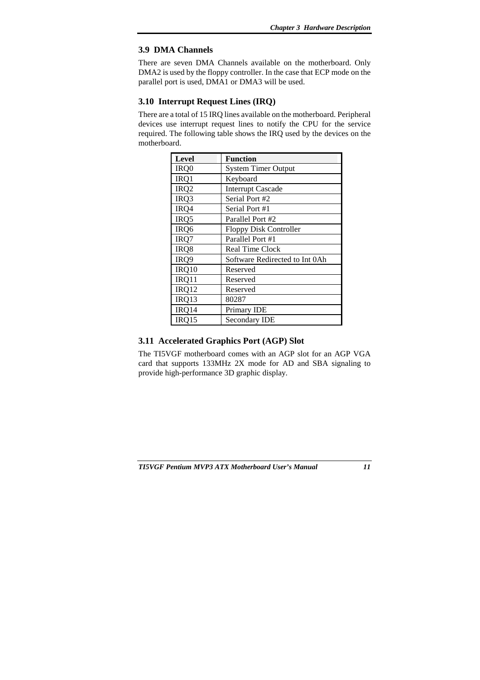### **3.9 DMA Channels**

There are seven DMA Channels available on the motherboard. Only DMA2 is used by the floppy controller. In the case that ECP mode on the parallel port is used, DMA1 or DMA3 will be used.

### **3.10 Interrupt Request Lines (IRQ)**

There are a total of 15 IRQ lines available on the motherboard. Peripheral devices use interrupt request lines to notify the CPU for the service required. The following table shows the IRQ used by the devices on the motherboard.

| Level            | Function                       |
|------------------|--------------------------------|
| IRQ0             | <b>System Timer Output</b>     |
| IRQ1             | Keyboard                       |
| IRQ <sub>2</sub> | <b>Interrupt Cascade</b>       |
| IRQ3             | Serial Port #2                 |
| IRQ4             | Serial Port #1                 |
| IRQ5             | Parallel Port #2               |
| IRQ6             | <b>Floppy Disk Controller</b>  |
| IRQ7             | Parallel Port #1               |
| IRQ8             | Real Time Clock                |
| IRQ9             | Software Redirected to Int 0Ah |
| IRQ10            | Reserved                       |
| IRQ11            | Reserved                       |
| IRQ12            | Reserved                       |
| IRQ13            | 80287                          |
| IRQ14            | Primary IDE                    |
| IRQ15            | Secondary IDE                  |

# **3.11 Accelerated Graphics Port (AGP) Slot**

The TI5VGF motherboard comes with an AGP slot for an AGP VGA card that supports 133MHz 2X mode for AD and SBA signaling to provide high-performance 3D graphic display.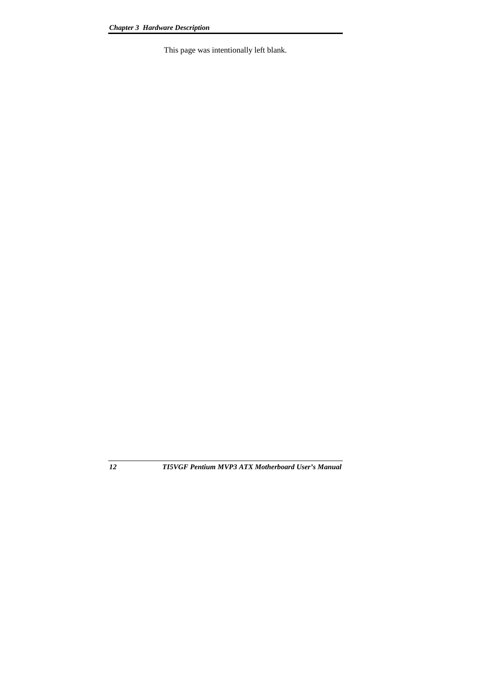This page was intentionally left blank.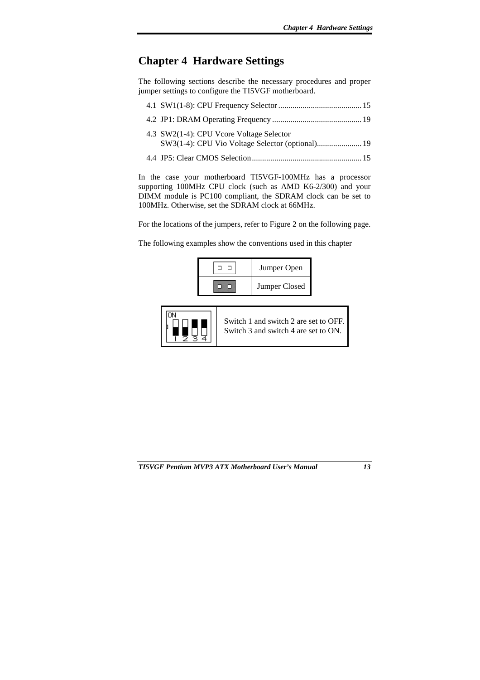# **Chapter 4 Hardware Settings**

The following sections describe the necessary procedures and proper jumper settings to configure the TI5VGF motherboard.

| 4.3 SW2(1-4): CPU Vcore Voltage Selector |
|------------------------------------------|
|                                          |

In the case your motherboard TI5VGF-100MHz has a processor supporting 100MHz CPU clock (such as AMD K6-2/300) and your DIMM module is PC100 compliant, the SDRAM clock can be set to 100MHz. Otherwise, set the SDRAM clock at 66MHz.

For the locations of the jumpers, refer to Figure 2 on the following page.

The following examples show the conventions used in this chapter

| Jumper Open   |
|---------------|
| Jumper Closed |



| Switch 1 and switch 2 are set to OFF. |
|---------------------------------------|
| Switch 3 and switch 4 are set to ON.  |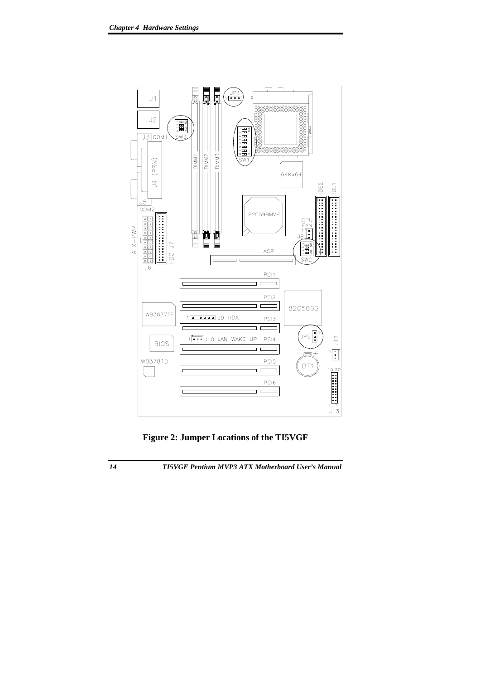

**Figure 2: Jumper Locations of the TI5VGF**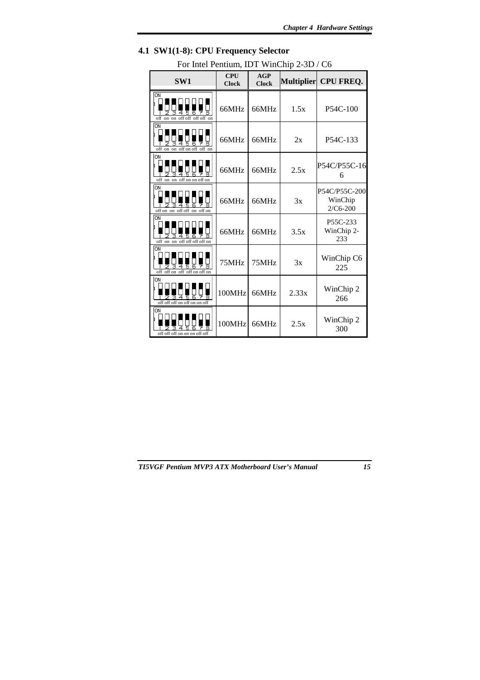# **4.1 SW1(1-8): CPU Frequency Selector**

| SW1                                    | <b>CPU</b><br><b>Clock</b> | <b>AGP</b><br><b>Clock</b> |       | Multiplier CPU FREQ.                     |
|----------------------------------------|----------------------------|----------------------------|-------|------------------------------------------|
| ON<br>off on on off off off on         | 66MHz                      | 66MHz                      | 1.5x  | P54C-100                                 |
| ŌN<br>off on on off on off off on      | 66MHz                      | 66MHz                      | 2x    | P54C-133                                 |
| ŌN<br>off on on off on on off on       | 66MHz                      | 66MHz                      | 2.5x  | P54C/P55C-16<br>6                        |
| OΝ<br>off on on off off on off on      | 66MHz                      | 66MHz                      | 3x    | P54C/P55C-200<br>WinChip<br>$2/C6 - 200$ |
| OΝ<br>3456<br>off on on off off off on | 66MHz                      | 66MHz                      | 3.5x  | P55C-233<br>WinChip 2-<br>233            |
| OΝ<br>off off on off off on off on     | 75MHz                      | 75MHz                      | 3x    | WinChip C6<br>225                        |
| ON<br>off off off on off on on off     | 100MHz                     | 66MHz                      | 2.33x | WinChip 2<br>266                         |
| OΝ<br>off off off on on on off off     | 100MHz                     | 66MHz                      | 2.5x  | WinChip 2<br>300                         |

For Intel Pentium, IDT WinChip 2-3D / C6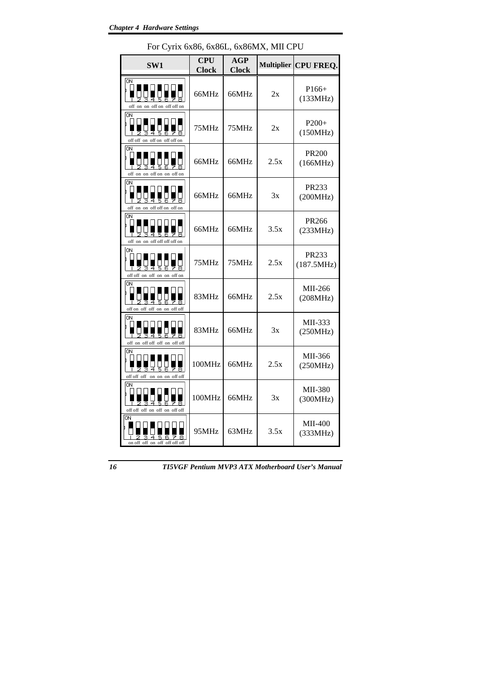| SW1                                              | <b>CPU</b><br><b>Clock</b> | AGP<br><b>Clock</b> |      | Multiplier CPU FREQ.     |
|--------------------------------------------------|----------------------------|---------------------|------|--------------------------|
| ON<br>Б<br>on off on off off on                  | 66MHz                      | 66MHz               | 2x   | $P166+$<br>(133MHz)      |
| ON<br>off off on off on off off on               | 75MHz                      | 75MHz               | 2x   | $P200+$<br>(150MHz)      |
| ΟN<br>off on on off on on off on                 | 66MHz                      | 66MHz               | 2.5x | <b>PR200</b><br>(166MHz) |
| ŌN<br>off on on off off on off on                | 66MHz                      | 66MHz               | 3x   | PR233<br>(200MHz)        |
| ON<br>off on on off off off on                   | 66MHz                      | 66MHz               | 3.5x | PR266<br>(233MHz)        |
| lΟN<br>off off on off on on off on               | 75MHz                      | 75MHz               | 2.5x | PR233<br>(187.5MHz)      |
| ŌN<br>off on off off on on off off               | 83MHz                      | 66MHz               | 2.5x | MII-266<br>(208MHz)      |
| ΙOΝ<br>off on off off on off off                 | 83MHz                      | 66MHz               | 3x   | MII-333<br>(250MHz)      |
| ŌN<br>off off on on on off off                   | 100MHz                     | 66MHz               | 2.5x | MII-366<br>(250MHz)      |
| <b>ON</b><br>6.<br>off off off on off on off off | 100MHz                     | 66MHz               | 3x   | MII-380<br>(300MHz)      |
| ÓŃ<br>on off off on off off off                  | 95MHz                      | 63MHz               | 3.5x | MII-400<br>(333MHz)      |

For Cyrix 6x86, 6x86L, 6x86MX, MII CPU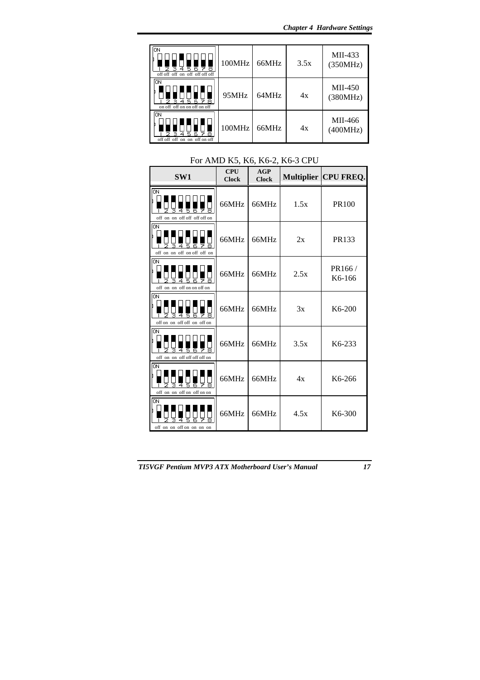| ΟN<br>4<br>5<br>百字百<br>з<br>2<br>off off off on off off off off   | 100MHz | 66MHz | 3.5x | MII-433<br>(350MHz) |
|-------------------------------------------------------------------|--------|-------|------|---------------------|
| l٥N<br>Ξ.<br>⋝<br>គ<br>ৰ<br>高<br>⊿<br>on off off on on off on off | 95MHz  | 64MHz | 4x   | MII-450<br>(380MHz) |
| ΙOΝ<br>5<br>8<br>з<br>б<br>⇁<br>off off off on on off on off      | 100MHz | 66MHz | 4x   | MII-466<br>(400MHz) |

# For AMD K5, K6, K6-2, K6-3 CPU

| SW <sub>1</sub>                    | <b>CPU</b><br><b>Clock</b> | AGP<br><b>Clock</b> |      | Multiplier CPU FREQ.          |
|------------------------------------|----------------------------|---------------------|------|-------------------------------|
| ōN<br>off on on off off off on     | 66MHz                      | 66MHz               | 1.5x | <b>PR100</b>                  |
| lОN<br>off on on off on off off on | 66MHz                      | 66MHz               | 2x   | PR133                         |
| lΟN<br>off on on off on on off on  | 66MHz                      | 66MHz               | 2.5x | PR <sub>166</sub> /<br>K6-166 |
| ŌN<br>off on on off off on off on  | 66MHz                      | 66MHz               | 3x   | K6-200                        |
| ON<br>off on on off off off on     | 66MHz                      | 66MHz               | 3.5x | K6-233                        |
| lоN<br>off on on off on off on on  | 66MHz                      | 66MHz               | 4x   | K6-266                        |
| lоN<br>off on on off on on on on   | 66MHz                      | 66MHz               | 4.5x | K6-300                        |

*TI5VGF Pentium MVP3 ATX Motherboard User's Manual 17*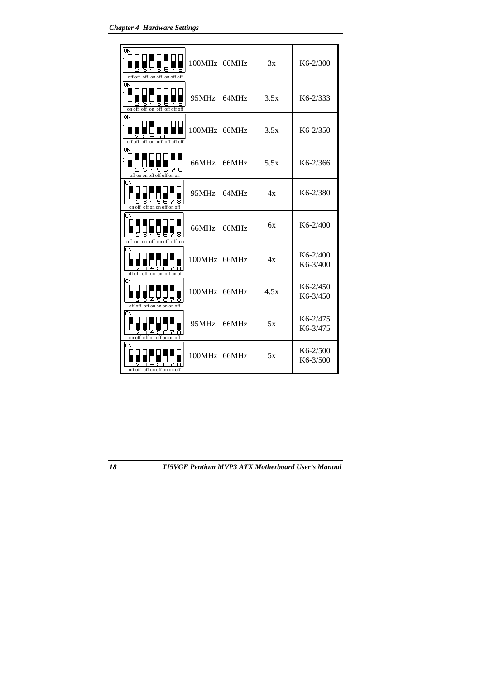| ON<br>off off off on off on off off          | 100MHz | 66MHz | 3x   | K6-2/300                   |
|----------------------------------------------|--------|-------|------|----------------------------|
| ЮN<br>6.<br>7<br>on off off on off off off   | 95MHz  | 64MHz | 3.5x | K6-2/333                   |
| ΟÑ<br>off off off on off off off off         | 100MHz | 66MHz | 3.5x | K6-2/350                   |
| ΟN<br>off on on off off off on on            | 66MHz  | 66MHz | 5.5x | K6-2/366                   |
| ΙOΝ<br>on off off on on off on off           | 95MHz  | 64MHz | 4x   | $K6 - 2/380$               |
| OΝ<br>4<br>6.<br>off on on off on off off on | 66MHz  | 66MHz | 6x   | K6-2/400                   |
| ON<br>off off off on on off on off           | 100MHz | 66MHz | 4x   | $K6-2/400$<br>$K6 - 3/400$ |
| OΝ<br>off off off on on on off               | 100MHz | 66MHz | 4.5x | $K6 - 2/450$<br>K6-3/450   |
| ON<br>on off off on off on on off            | 95MHz  | 66MHz | 5x   | K6-2/475<br>K6-3/475       |
| OΝ<br>off off off on off on on off           | 100MHz | 66MHz | 5x   | $K6-2/500$<br>$K6 - 3/500$ |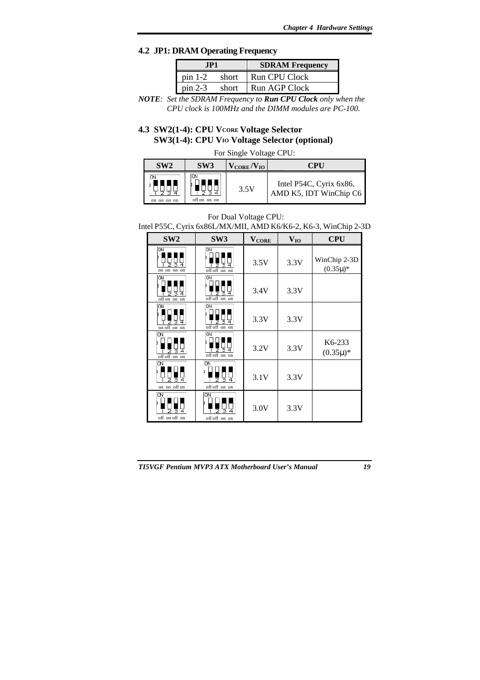# **4.2 JP1: DRAM Operating Frequency**

| JP1.      |       | <b>SDRAM Frequency</b> |
|-----------|-------|------------------------|
| $\pi$ 1-2 | short | Run CPU Clock          |
| $pin 2-3$ | short | Run AGP Clock          |

*NOTE: Set the SDRAM Frequency to Run CPU Clock only when the CPU clock is 100MHz and the DIMM modules are PC-100.*

# **4.3 SW2(1-4): CPU VCORE Voltage Selector SW3(1-4): CPU VIO Voltage Selector (optional)**

For Single Voltage CPU:

| SW2                | SW <sub>3</sub>     | $V_{CORE}/V_{IO}$ | (PH                                               |
|--------------------|---------------------|-------------------|---------------------------------------------------|
| l٥N<br>on on on on | ΙOΝ<br>off on on on | 3.5V              | Intel P54C, Cyrix 6x86,<br>AMD K5, IDT WinChip C6 |

For Dual Voltage CPU:

| SW <sub>2</sub>           | SW <sub>3</sub>            | $V_{\text{CORE}}$ | $V_{IO}$ | <b>CPU</b>                    |
|---------------------------|----------------------------|-------------------|----------|-------------------------------|
| <b>ON</b><br>on on on on  | <b>ON</b><br>off off on on | 3.5V              | 3.3V     | WinChip 2-3D<br>$(0.35\mu)^*$ |
| <b>ON</b><br>off on on on | ON<br>off off on on        | 3.4V              | 3.3V     |                               |
| <b>ON</b><br>on off on on | ON<br>з<br>off off on on   | 3.3V              | 3.3V     |                               |
| ON<br>off off on on       | ON<br>off off on on        | 3.2V              | 3.3V     | K6-233<br>$(0.35\mu)^*$       |
| ON<br>on on off on        | OΝ<br>off off on on        | 3.1V              | 3.3V     |                               |
| ON<br>off on off on       | <b>ON</b><br>off off on on | 3.0V              | 3.3V     |                               |

Intel P55C, Cyrix 6x86L/MX/MII, AMD K6/K6-2, K6-3, WinChip 2-3D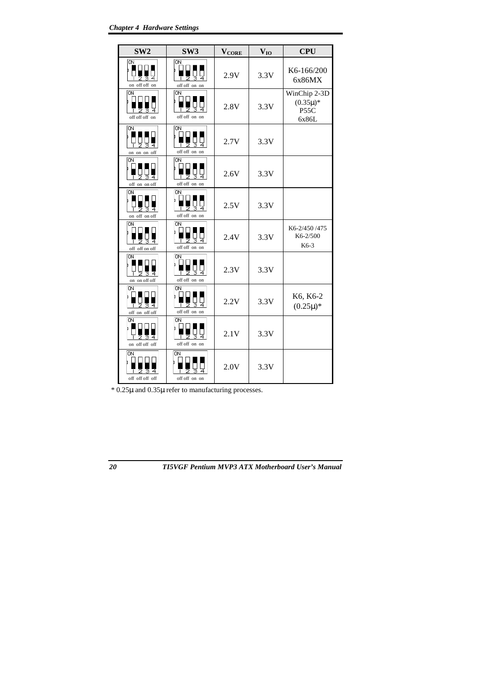*Chapter 4 Hardware Settings* 

| SW2                         | SW <sub>3</sub>            | <b>VCORE</b> | $V_{IQ}$ | <b>CPU</b>                                                  |
|-----------------------------|----------------------------|--------------|----------|-------------------------------------------------------------|
| ŪΝ<br>on off off on         | <b>ON</b><br>off off on on | 2.9V         | 3.3V     | K6-166/200<br>6x86MX                                        |
| ΟN<br>off off on            | <b>ON</b><br>off off on on | 2.8V         | 3.3V     | WinChip 2-3D<br>$(0.35\mu)^*$<br>P <sub>55</sub> C<br>6x86L |
| <b>ON</b><br>on on on off   | <b>ON</b><br>off off on on | 2.7V         | 3.3V     |                                                             |
| ΙOΝ<br>off on on off        | ON<br>off off on on        | 2.6V         | 3.3V     |                                                             |
| ŪΝ<br>on off on off         | ON<br>off off on on        | 2.5V         | 3.3V     |                                                             |
| ON<br>off off on off        | ON<br>off off on on        | 2.4V         | 3.3V     | K6-2/450 /475<br>K6-2/500<br>$K6-3$                         |
| ON<br>on on off off         | ON<br>off off on on        | 2.3V         | 3.3V     |                                                             |
| <b>ON</b><br>off on off off | ON<br>off off on on        | 2.2V         | 3.3V     | K6, K6-2<br>$(0.25\mu)^*$                                   |
| ON<br>on off off off        | ΟN<br>off off on on        | 2.1V         | 3.3V     |                                                             |
| ÖΝ<br>off off off           | OΝ<br>off off on on        | 2.0V         | 3.3V     |                                                             |

\* 0.25µ and 0.35µ refer to manufacturing processes.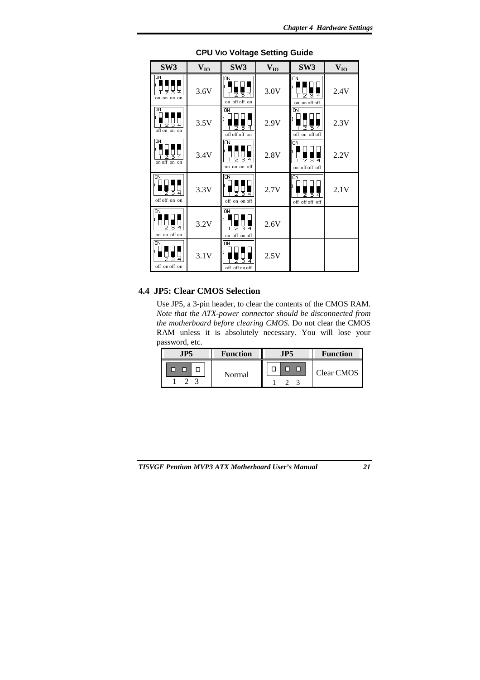| SW <sub>3</sub>           | $V_{IO}$ | SW <sub>3</sub>      | $V_{IO}$ | SW <sub>3</sub>          | $V_{IO}$ |
|---------------------------|----------|----------------------|----------|--------------------------|----------|
| ON<br>on on on on         | 3.6V     | ON<br>on off off on  | 3.0V     | ON<br>on on off off      | 2.4V     |
| <b>ON</b><br>off on on on | 3.5V     | ON<br>off off on     | 2.9V     | ON<br>off on off off     | 2.3V     |
| ON<br>on off on on        | 3.4V     | ON<br>on on on off   | 2.8V     | ē<br>з<br>on off off off | 2.2V     |
| ON<br>off off on on       | 3.3V     | ON<br>off on on off  | 2.7V     | ON<br>off off off        | 2.1V     |
| ON<br>on on off on        | 3.2V     | ΙOΝ<br>on off on off | 2.6V     |                          |          |
| ON<br>off on off on       | 3.1V     | ON<br>off off on off | 2.5V     |                          |          |

**CPU VIO Voltage Setting Guide** 

# **4.4 JP5: Clear CMOS Selection**

Use JP5, a 3-pin header, to clear the contents of the CMOS RAM. *Note that the ATX-power connector should be disconnected from the motherboard before clearing CMOS.* Do not clear the CMOS RAM unless it is absolutely necessary. You will lose your password, etc.

| .TP5 | <b>Function</b> | IP5 | <b>Function</b> |
|------|-----------------|-----|-----------------|
|      | Normal          |     | Clear CMOS      |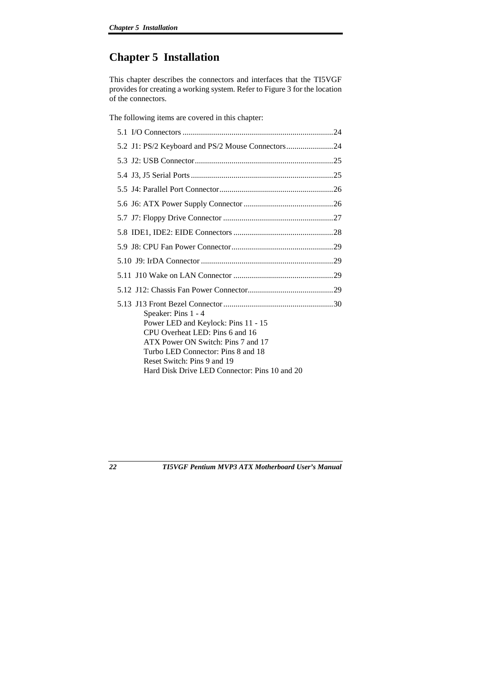# **Chapter 5 Installation**

This chapter describes the connectors and interfaces that the TI5VGF provides for creating a working system. Refer to Figure 3 for the location of the connectors.

The following items are covered in this chapter: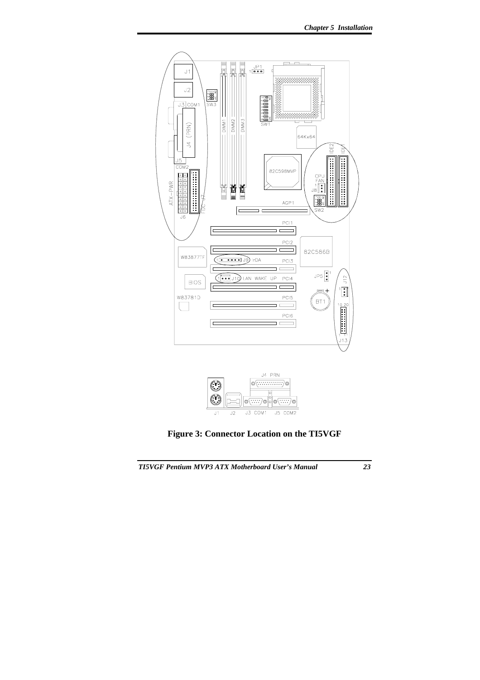



**Figure 3: Connector Location on the TI5VGF**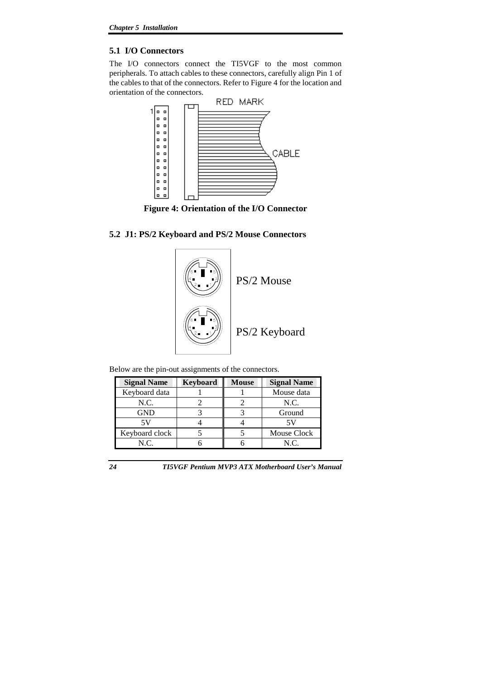# **5.1 I/O Connectors**

The I/O connectors connect the TI5VGF to the most common peripherals. To attach cables to these connectors, carefully align Pin 1 of the cables to that of the connectors. Refer to Figure 4 for the location and orientation of the connectors.





# **5.2 J1: PS/2 Keyboard and PS/2 Mouse Connectors**



Below are the pin-out assignments of the connectors.

| <b>Signal Name</b> | <b>Keyboard</b> | <b>Mouse</b> | <b>Signal Name</b> |
|--------------------|-----------------|--------------|--------------------|
| Keyboard data      |                 |              | Mouse data         |
| N.C.               |                 |              | N.C.               |
| GND                |                 |              | Ground             |
| 5V                 |                 |              | 5V                 |
| Keyboard clock     |                 |              | Mouse Clock        |
| N.C.               |                 |              | N.C.               |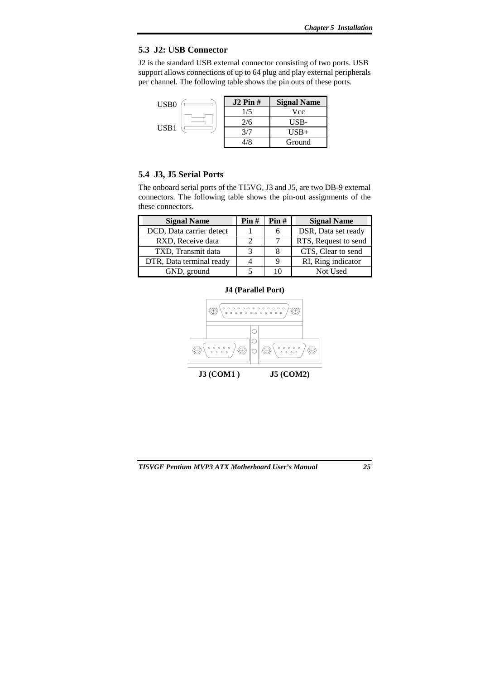### **5.3 J2: USB Connector**

J2 is the standard USB external connector consisting of two ports. USB support allows connections of up to 64 plug and play external peripherals per channel. The following table shows the pin outs of these ports.

| USB <sub>0</sub> | $J2$ Pin # | <b>Signal Name</b> |
|------------------|------------|--------------------|
|                  | 1/5        | Vcc                |
|                  | 2/6        | USB-               |
| USB1             |            | $USB+$             |
|                  |            | Ground             |

# **5.4 J3, J5 Serial Ports**

The onboard serial ports of the TI5VG, J3 and J5, are two DB-9 external connectors. The following table shows the pin-out assignments of the these connectors.

| <b>Signal Name</b>       | Pin# | Pin# | <b>Signal Name</b>   |
|--------------------------|------|------|----------------------|
| DCD, Data carrier detect |      |      | DSR, Data set ready  |
| RXD, Receive data        |      | ┑    | RTS, Request to send |
| TXD, Transmit data       |      | 8    | CTS, Clear to send   |
| DTR, Data terminal ready |      | 9    | RI, Ring indicator   |
| GND, ground              |      | 10   | Not Used             |



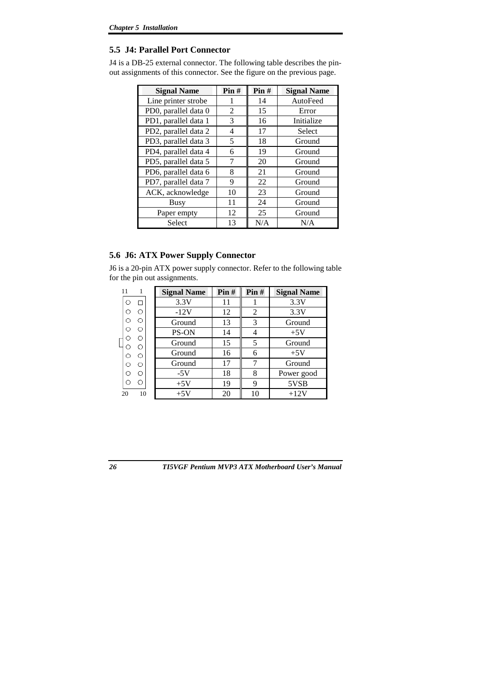# **5.5 J4: Parallel Port Connector**

J4 is a DB-25 external connector. The following table describes the pinout assignments of this connector. See the figure on the previous page.

| <b>Signal Name</b>   | Pin# | Pin# | <b>Signal Name</b> |
|----------------------|------|------|--------------------|
| Line printer strobe  |      | 14   | AutoFeed           |
| PD0, parallel data 0 | 2    | 15   | Error              |
| PD1, parallel data 1 | 3    | 16   | Initialize         |
| PD2, parallel data 2 | 4    | 17   | Select             |
| PD3, parallel data 3 | 5    | 18   | Ground             |
| PD4, parallel data 4 | 6    | 19   | Ground             |
| PD5, parallel data 5 | 7    | 20   | Ground             |
| PD6, parallel data 6 | 8    | 21   | Ground             |
| PD7, parallel data 7 | 9    | 22   | Ground             |
| ACK, acknowledge     | 10   | 23   | Ground             |
| Busy                 | 11   | 24   | Ground             |
| Paper empty          | 12   | 25   | Ground             |
| Select               | 13   | N/A  | N/A                |

# **5.6 J6: ATX Power Supply Connector**

J6 is a 20-pin ATX power supply connector. Refer to the following table for the pin out assignments.

| 11 |        | <b>Signal Name</b> | Pin# | $\text{Pin}\,\text{\#}$ | <b>Signal Name</b> |
|----|--------|--------------------|------|-------------------------|--------------------|
| ∩  | П      | 3.3V               | 11   |                         | 3.3V               |
| ∩  | Ω      | $-12V$             | 12   | 2                       | 3.3V               |
| ∩  | Ō      | Ground             | 13   | 3                       | Ground             |
|    | Ō      | <b>PS-ON</b>       | 14   | 4                       | $+5V$              |
| ∩  | ∩<br>∩ | Ground             | 15   | 5                       | Ground             |
|    | Ō      | Ground             | 16   | 6                       | $+5V$              |
|    | O      | Ground             | 17   |                         | Ground             |
| ∩  | Ô      | $-5V$              | 18   | 8                       | Power good         |
| M  | Ō      | $+5V$              | 19   | 9                       | 5VSB               |
| 20 | 10     | $+5V$              | 20   | 10                      | $+12V$             |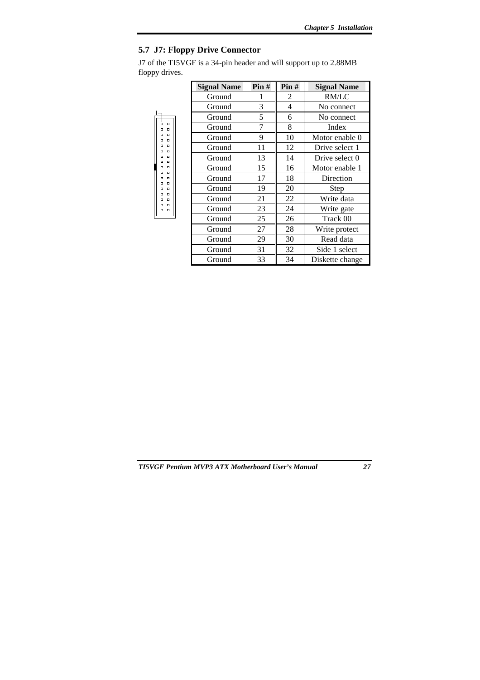# **5.7 J7: Floppy Drive Connector**

J7 of the TI5VGF is a 34-pin header and will support up to 2.88MB floppy drives.

|                                                                                               |  | <b>Signal Name</b> | Pin# | Pin#   | <b>Signal Name</b> |    |               |  |  |        |    |    |           |
|-----------------------------------------------------------------------------------------------|--|--------------------|------|--------|--------------------|----|---------------|--|--|--------|----|----|-----------|
|                                                                                               |  | Ground             | 1    | 2      | RM/LC              |    |               |  |  |        |    |    |           |
|                                                                                               |  | Ground             | 3    | 4      | No connect         |    |               |  |  |        |    |    |           |
|                                                                                               |  | Ground             | 5    | 6      | No connect         |    |               |  |  |        |    |    |           |
| $\Box$<br>o                                                                                   |  | Ground             | 7    | 8      | Index              |    |               |  |  |        |    |    |           |
| o<br>α<br>п<br>α                                                                              |  | Ground             | 9    | 10     | Motor enable 0     |    |               |  |  |        |    |    |           |
| о<br>α<br>п<br>o                                                                              |  | Ground             | 11   | 12     | Drive select 1     |    |               |  |  |        |    |    |           |
| D<br>о<br>o<br>α                                                                              |  | Ground             | 13   | 14     | Drive select 0     |    |               |  |  |        |    |    |           |
| o<br>α<br>o<br>۰<br>۰<br>o<br>o<br>o<br>o<br>o<br>$\Box$<br>α<br>$\Box$<br>o<br>$\Box$<br>. . |  | Ground             | 15   | 16     | Motor enable 1     |    |               |  |  |        |    |    |           |
|                                                                                               |  |                    |      |        |                    |    |               |  |  | Ground | 17 | 18 | Direction |
|                                                                                               |  |                    |      |        |                    |    |               |  |  | Ground | 19 | 20 | Step      |
|                                                                                               |  | Ground             | 21   | 22     | Write data         |    |               |  |  |        |    |    |           |
|                                                                                               |  | Ground             | 23   | 24     | Write gate         |    |               |  |  |        |    |    |           |
|                                                                                               |  | Ground             | 25   | 26     | Track 00           |    |               |  |  |        |    |    |           |
|                                                                                               |  |                    |      | Ground | 27                 | 28 | Write protect |  |  |        |    |    |           |
|                                                                                               |  | Ground             | 29   | 30     | Read data          |    |               |  |  |        |    |    |           |
|                                                                                               |  | Ground             | 31   | 32     | Side 1 select      |    |               |  |  |        |    |    |           |
|                                                                                               |  | Ground             | 33   | 34     | Diskette change    |    |               |  |  |        |    |    |           |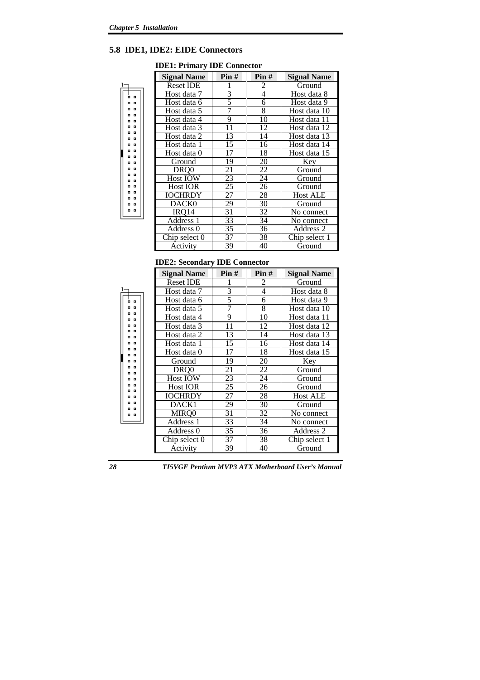$1-$ 

# **5.8 IDE1, IDE2: EIDE Connectors**

 **IDE1: Primary IDE Connector** 

|        | <b>Signal Name</b> | Pin#            | Pin#            | <b>Signal Name</b> |
|--------|--------------------|-----------------|-----------------|--------------------|
|        | <b>Reset IDE</b>   |                 | 2               | Ground             |
| o      | Host data 7        | 3               | 4               | Host data 8        |
| 0      | Host data 6        | 5               | 6               | Host data 9        |
| 0<br>o | Host data 5        | 7               | 8               | Host data 10       |
| o      | Host data 4        | 9               | 10              | Host data 11       |
| o      | Host data 3        | 11              | 12              | Host data 12       |
| o<br>o | Host data 2        | 13              | 14              | Host data 13       |
| 0      | Host data 1        | 15              | 16              | Host data 14       |
| O<br>o | Host data 0        | 17              | 18              | Host data 15       |
| 0      | Ground             | 19              | 20              | Kev                |
| o      | DR <sub>O0</sub>   | 21              | 22              | Ground             |
| 0<br>o | <b>Host IOW</b>    | 23              | $\overline{24}$ | Ground             |
| o      | <b>Host IOR</b>    | 25              | 26              | Ground             |
| o<br>o | <b>IOCHRDY</b>     | $\overline{27}$ | 28              | <b>Host ALE</b>    |
| o      | DACK <sub>0</sub>  | 29              | 30              | Ground             |
| o      | IRO <sub>14</sub>  | $\overline{31}$ | $\overline{32}$ | No connect         |
|        | Address 1          | 33              | 34              | No connect         |
|        | Address 0          | $\overline{35}$ | 36              | Address 2          |
|        | Chip select 0      | 37              | 38              | Chip select 1      |
|        | Activity           | 39              | 40              | Ground             |

# **IDE2: Secondary IDE Connector**

|               | <b>Signal Name</b> | Pin#            | Pin# | <b>Signal Name</b> |
|---------------|--------------------|-----------------|------|--------------------|
|               | <b>Reset IDE</b>   | 1               | 2    | Ground             |
| ₹             | Host data 7        | 3               | 4    | Host data 8        |
| ò o           | Host data 6        | 5               | 6    | Host data 9        |
| . .           | Host data 5        | 7               | 8    | Host data 10       |
| . .<br>$\Box$ | Host data 4        | 9               | 10   | Host data 11       |
| $\Box$        | Host data 3        | 11              | 12   | Host data 12       |
| . .<br>. .    | Host data 2        | 13              | 14   | Host data 13       |
| . .           | Host data 1        | 15              | 16   | Host data 14       |
| . .<br>. .    | Host data 0        | 17              | 18   | Host data 15       |
| . .           | Ground             | 19              | 20   | Key                |
| . .<br>. .    | DR <sub>O0</sub>   | 21              | 22   | Ground             |
| . .           | <b>Host IOW</b>    | 23              | 24   | Ground             |
| . .<br>. .    | Host <b>IOR</b>    | 25              | 26   | Ground             |
| . .           | <b>IOCHRDY</b>     | 27              | 28   | <b>Host ALE</b>    |
| . .<br>. .    | DACK1              | 29              | 30   | Ground             |
| . .           | MIRQ0              | $\overline{31}$ | 32   | No connect         |
|               | Address 1          | 33              | 34   | No connect         |
|               | Address 0          | 35              | 36   | Address 2          |
|               | Chip select 0      | 37              | 38   | Chip select 1      |
|               | Activity           | 39              | 40   | Ground             |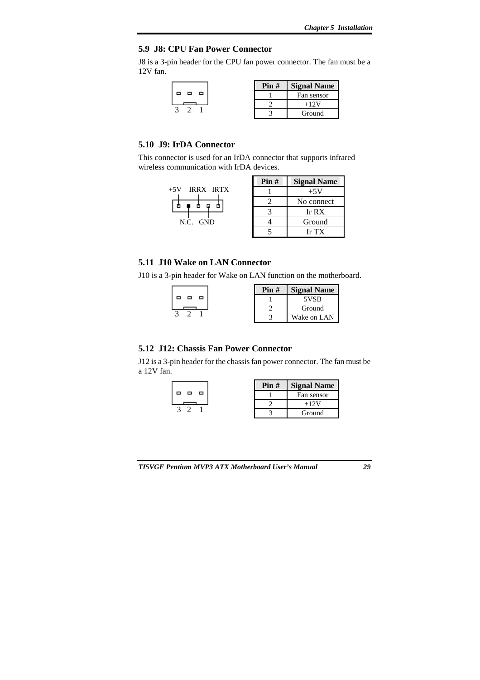# **5.9 J8: CPU Fan Power Connector**

J8 is a 3-pin header for the CPU fan power connector. The fan must be a 12V fan.

| Pin# | <b>Signal Name</b> |
|------|--------------------|
|      | Fan sensor         |
|      |                    |
|      | Ground             |

# **5.10 J9: IrDA Connector**

This connector is used for an IrDA connector that supports infrared wireless communication with IrDA devices.

|                    | $\text{Pin}\,\text{\#}$ | <b>Signal Name</b> |
|--------------------|-------------------------|--------------------|
| IRRX IRTX<br>$+5V$ |                         | $+5V$              |
|                    |                         | No connect         |
|                    |                         | Ir $RX$            |
| N.C. GND           |                         | Ground             |
|                    |                         | Ir TX              |

# **5.11 J10 Wake on LAN Connector**

J10 is a 3-pin header for Wake on LAN function on the motherboard.

|  | $\textbf{Pin} \#$ | <b>Signal Name</b> |
|--|-------------------|--------------------|
|  |                   | 5VSB               |
|  |                   | Ground             |
|  |                   | Wake on LAN        |

# **5.12 J12: Chassis Fan Power Connector**

J12 is a 3-pin header for the chassis fan power connector. The fan must be a 12V fan.



| Pin# | <b>Signal Name</b> |
|------|--------------------|
|      | Fan sensor         |
|      |                    |
|      | Ground             |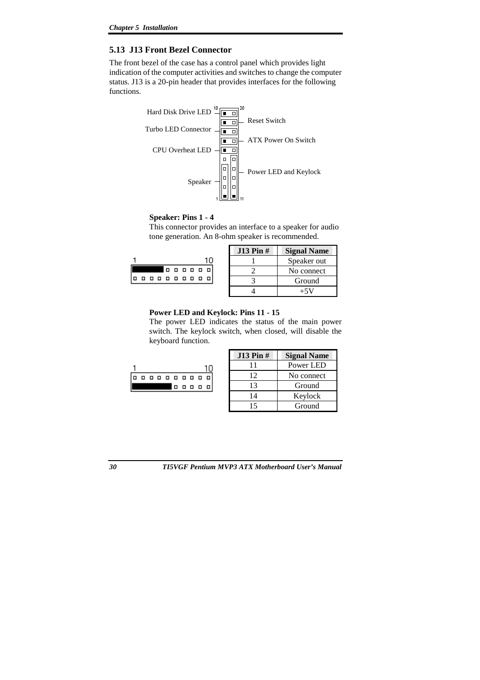### **5.13 J13 Front Bezel Connector**

The front bezel of the case has a control panel which provides light indication of the computer activities and switches to change the computer status. J13 is a 20-pin header that provides interfaces for the following functions.



### **Speaker: Pins 1 - 4**

This connector provides an interface to a speaker for audio tone generation. An 8-ohm speaker is recommended.

|           | J13 Pin# |
|-----------|----------|
|           |          |
|           |          |
| 000000000 |          |
|           |          |

### **Power LED and Keylock: Pins 11 - 15**

The power LED indicates the status of the main power switch. The keylock switch, when closed, will disable the keyboard function.

| □ |  |  |  | 000000000 |  |
|---|--|--|--|-----------|--|
|   |  |  |  | 00000     |  |
|   |  |  |  |           |  |

| J13 Pin# | <b>Signal Name</b> |  |  |  |  |
|----------|--------------------|--|--|--|--|
| 11       | Power LED          |  |  |  |  |
| 12       | No connect         |  |  |  |  |
| 13       | Ground             |  |  |  |  |
| 14       | Keylock            |  |  |  |  |
| 5        | Ground             |  |  |  |  |

**Signal Name** Speaker out No connect **Ground**  $+5V$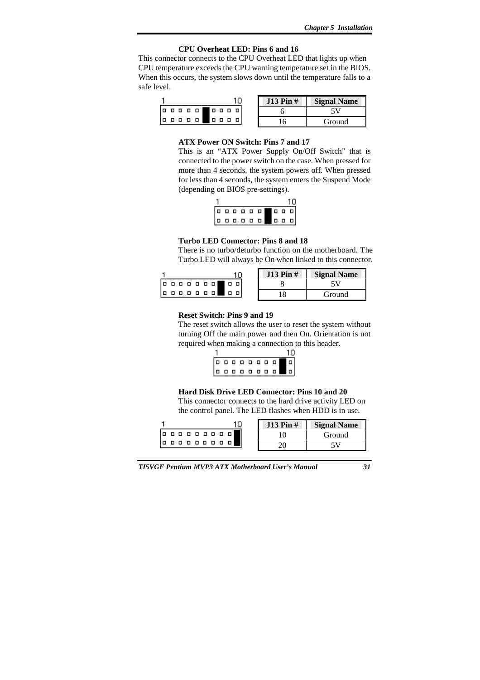### **CPU Overheat LED: Pins 6 and 16**

This connector connects to the CPU Overheat LED that lights up when CPU temperature exceeds the CPU warning temperature set in the BIOS. When this occurs, the system slows down until the temperature falls to a safe level.

|                          | $J13$ Pin # | <b>Signal Name</b> |
|--------------------------|-------------|--------------------|
| 1000 O I<br><b>00001</b> |             |                    |
| 1000 O I<br>1000001      |             | Ground             |

#### **ATX Power ON Switch: Pins 7 and 17**

This is an "ATX Power Supply On/Off Switch" that is connected to the power switch on the case. When pressed for more than 4 seconds, the system powers off. When pressed for less than 4 seconds, the system enters the Suspend Mode (depending on BIOS pre-settings).

|  |  |  |  | חו |
|--|--|--|--|----|
|  |  |  |  |    |
|  |  |  |  |    |

### **Turbo LED Connector: Pins 8 and 18**

There is no turbo/deturbo function on the motherboard. The Turbo LED will always be On when linked to this connector.

|                   | J13 Pin # | <b>Signal Name</b> |
|-------------------|-----------|--------------------|
| 10 O I<br>------- |           |                    |
| 0000000000        |           | Ground             |

### **Reset Switch: Pins 9 and 19**

The reset switch allows the user to reset the system without turning Off the main power and then On. Orientation is not required when making a connection to this header.

|  |  |  |  | 10         |
|--|--|--|--|------------|
|  |  |  |  |            |
|  |  |  |  | 0000000000 |

#### **Hard Disk Drive LED Connector: Pins 10 and 20**

This connector connects to the hard drive activity LED on the control panel. The LED flashes when HDD is in use.

|              | J13 Pin # | <b>Signal Name</b> |
|--------------|-----------|--------------------|
| . <b>. .</b> |           | Ground             |
|              |           |                    |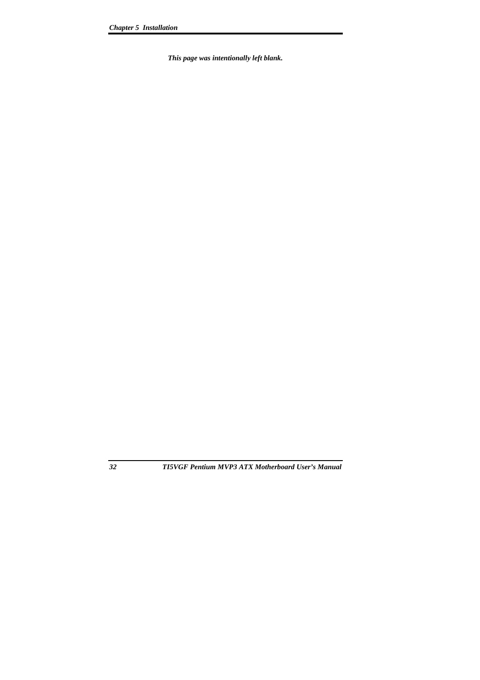*This page was intentionally left blank.*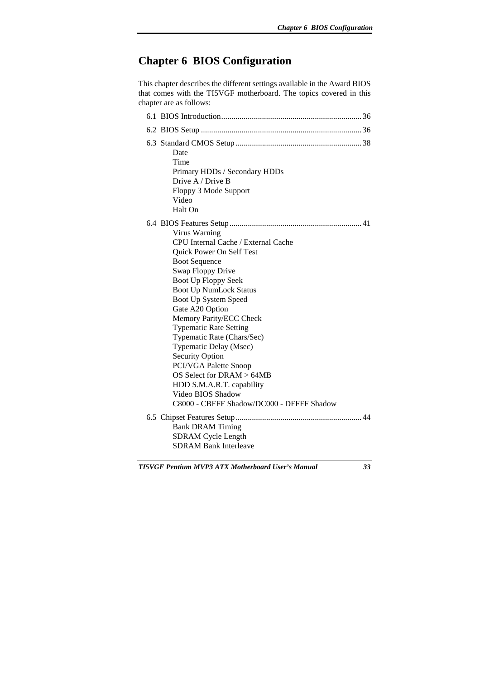# **Chapter 6 BIOS Configuration**

This chapter describes the different settings available in the Award BIOS that comes with the TI5VGF motherboard. The topics covered in this chapter are as follows:

| Date<br>Time<br>Primary HDDs / Secondary HDDs<br>Drive A / Drive B<br>Floppy 3 Mode Support<br>Video<br>Halt On                                                                                                                                                                                                                                                                                                                                                                                                                            |  |
|--------------------------------------------------------------------------------------------------------------------------------------------------------------------------------------------------------------------------------------------------------------------------------------------------------------------------------------------------------------------------------------------------------------------------------------------------------------------------------------------------------------------------------------------|--|
| Virus Warning<br>CPU Internal Cache / External Cache<br>Quick Power On Self Test<br><b>Boot Sequence</b><br>Swap Floppy Drive<br>Boot Up Floppy Seek<br><b>Boot Up NumLock Status</b><br>Boot Up System Speed<br>Gate A20 Option<br>Memory Parity/ECC Check<br><b>Typematic Rate Setting</b><br>Typematic Rate (Chars/Sec)<br>Typematic Delay (Msec)<br><b>Security Option</b><br><b>PCI/VGA Palette Snoop</b><br>OS Select for DRAM > 64MB<br>HDD S.M.A.R.T. capability<br>Video BIOS Shadow<br>C8000 - CBFFF Shadow/DC000 - DFFFF Shadow |  |
| <b>Bank DRAM Timing</b><br><b>SDRAM</b> Cycle Length<br><b>SDRAM Bank Interleave</b>                                                                                                                                                                                                                                                                                                                                                                                                                                                       |  |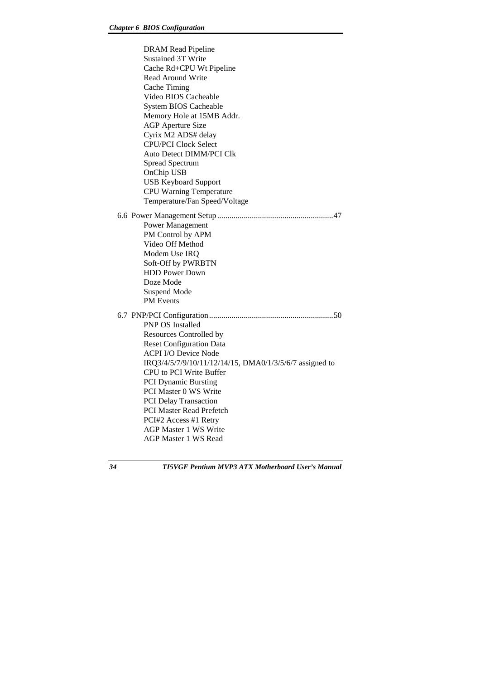| <b>DRAM</b> Read Pipeline<br><b>Sustained 3T Write</b><br>Cache Rd+CPU Wt Pipeline<br>Read Around Write<br>Cache Timing<br>Video BIOS Cacheable<br><b>System BIOS Cacheable</b><br>Memory Hole at 15MB Addr.<br><b>AGP</b> Aperture Size<br>Cyrix M2 ADS# delay<br><b>CPU/PCI Clock Select</b><br>Auto Detect DIMM/PCI Clk<br><b>Spread Spectrum</b> |
|------------------------------------------------------------------------------------------------------------------------------------------------------------------------------------------------------------------------------------------------------------------------------------------------------------------------------------------------------|
| OnChip USB                                                                                                                                                                                                                                                                                                                                           |
| <b>USB Keyboard Support</b><br><b>CPU Warning Temperature</b>                                                                                                                                                                                                                                                                                        |
| Temperature/Fan Speed/Voltage                                                                                                                                                                                                                                                                                                                        |
|                                                                                                                                                                                                                                                                                                                                                      |
| <b>Power Management</b>                                                                                                                                                                                                                                                                                                                              |
| PM Control by APM                                                                                                                                                                                                                                                                                                                                    |
| Video Off Method                                                                                                                                                                                                                                                                                                                                     |
| Modem Use IRQ                                                                                                                                                                                                                                                                                                                                        |
| Soft-Off by PWRBTN                                                                                                                                                                                                                                                                                                                                   |
| <b>HDD Power Down</b>                                                                                                                                                                                                                                                                                                                                |
| Doze Mode                                                                                                                                                                                                                                                                                                                                            |
| <b>Suspend Mode</b>                                                                                                                                                                                                                                                                                                                                  |
| <b>PM</b> Events                                                                                                                                                                                                                                                                                                                                     |
|                                                                                                                                                                                                                                                                                                                                                      |
| PNP OS Installed                                                                                                                                                                                                                                                                                                                                     |
| Resources Controlled by                                                                                                                                                                                                                                                                                                                              |
| <b>Reset Configuration Data</b>                                                                                                                                                                                                                                                                                                                      |
| <b>ACPI I/O Device Node</b>                                                                                                                                                                                                                                                                                                                          |
| IRQ3/4/5/7/9/10/11/12/14/15, DMA0/1/3/5/6/7 assigned to                                                                                                                                                                                                                                                                                              |
| <b>CPU</b> to PCI Write Buffer                                                                                                                                                                                                                                                                                                                       |
| <b>PCI Dynamic Bursting</b>                                                                                                                                                                                                                                                                                                                          |
| PCI Master 0 WS Write                                                                                                                                                                                                                                                                                                                                |
| <b>PCI Delay Transaction</b>                                                                                                                                                                                                                                                                                                                         |
| PCI Master Read Prefetch                                                                                                                                                                                                                                                                                                                             |
| PCI#2 Access #1 Retry                                                                                                                                                                                                                                                                                                                                |
| <b>AGP Master 1 WS Write</b>                                                                                                                                                                                                                                                                                                                         |
| <b>AGP Master 1 WS Read</b>                                                                                                                                                                                                                                                                                                                          |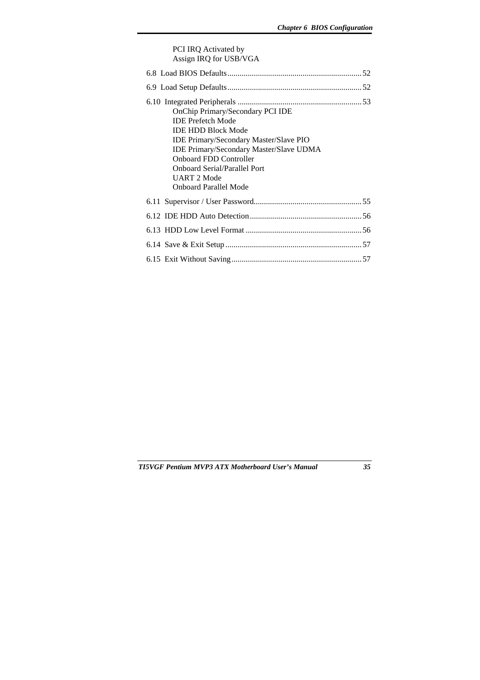| PCI IRQ Activated by<br>Assign IRQ for USB/VGA                                                                                                                                                                                                                                                                      |
|---------------------------------------------------------------------------------------------------------------------------------------------------------------------------------------------------------------------------------------------------------------------------------------------------------------------|
|                                                                                                                                                                                                                                                                                                                     |
|                                                                                                                                                                                                                                                                                                                     |
| OnChip Primary/Secondary PCI IDE<br><b>IDE Prefetch Mode</b><br><b>IDE HDD Block Mode</b><br>IDE Primary/Secondary Master/Slave PIO<br><b>IDE Primary/Secondary Master/Slave UDMA</b><br><b>Onboard FDD Controller</b><br><b>Onboard Serial/Parallel Port</b><br><b>UART 2 Mode</b><br><b>Onboard Parallel Mode</b> |
|                                                                                                                                                                                                                                                                                                                     |
|                                                                                                                                                                                                                                                                                                                     |
|                                                                                                                                                                                                                                                                                                                     |
|                                                                                                                                                                                                                                                                                                                     |
|                                                                                                                                                                                                                                                                                                                     |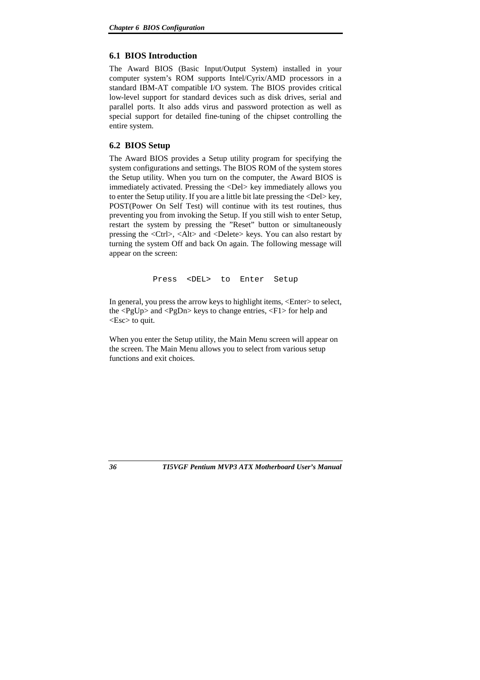# **6.1 BIOS Introduction**

The Award BIOS (Basic Input/Output System) installed in your computer system's ROM supports Intel/Cyrix/AMD processors in a standard IBM-AT compatible I/O system. The BIOS provides critical low-level support for standard devices such as disk drives, serial and parallel ports. It also adds virus and password protection as well as special support for detailed fine-tuning of the chipset controlling the entire system.

# **6.2 BIOS Setup**

The Award BIOS provides a Setup utility program for specifying the system configurations and settings. The BIOS ROM of the system stores the Setup utility. When you turn on the computer, the Award BIOS is immediately activated. Pressing the <Del> key immediately allows you to enter the Setup utility. If you are a little bit late pressing the <Del> key, POST(Power On Self Test) will continue with its test routines, thus preventing you from invoking the Setup. If you still wish to enter Setup, restart the system by pressing the "Reset" button or simultaneously pressing the <Ctrl>, <Alt> and <Delete> keys. You can also restart by turning the system Off and back On again. The following message will appear on the screen:

Press <DEL> to Enter Setup

In general, you press the arrow keys to highlight items,  $\leq$  Enter $>$  to select, the <PgUp> and <PgDn> keys to change entries, <F1> for help and <Esc> to quit.

When you enter the Setup utility, the Main Menu screen will appear on the screen. The Main Menu allows you to select from various setup functions and exit choices.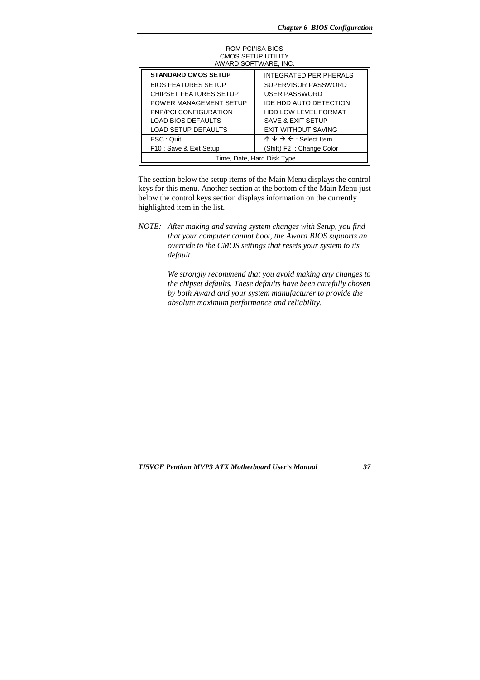# ROM PCI/ISA BIOS CMOS SETUP UTILITY

| AWARD SOFTWARE, INC.          |                                                      |  |  |  |  |
|-------------------------------|------------------------------------------------------|--|--|--|--|
| <b>STANDARD CMOS SETUP</b>    | INTEGRATED PERIPHERALS                               |  |  |  |  |
| <b>BIOS FEATURES SETUP</b>    | SUPERVISOR PASSWORD                                  |  |  |  |  |
| <b>CHIPSET FEATURES SETUP</b> | USER PASSWORD                                        |  |  |  |  |
| POWER MANAGEMENT SETUP        | <b>IDE HDD AUTO DETECTION</b>                        |  |  |  |  |
| <b>PNP/PCI CONFIGURATION</b>  | <b>HDD LOW LEVEL FORMAT</b>                          |  |  |  |  |
| <b>LOAD BIOS DEFAULTS</b>     | <b>SAVE &amp; EXIT SETUP</b>                         |  |  |  |  |
| <b>LOAD SETUP DEFAULTS</b>    | <b>EXIT WITHOUT SAVING</b>                           |  |  |  |  |
| ESC: Quit                     | $\uparrow \psi \rightarrow \Leftarrow$ : Select Item |  |  |  |  |
| F10 : Save & Exit Setup       | (Shift) F2: Change Color                             |  |  |  |  |
| Time, Date, Hard Disk Type    |                                                      |  |  |  |  |

The section below the setup items of the Main Menu displays the control keys for this menu. Another section at the bottom of the Main Menu just below the control keys section displays information on the currently highlighted item in the list.

 *We strongly recommend that you avoid making any changes to the chipset defaults. These defaults have been carefully chosen by both Award and your system manufacturer to provide the absolute maximum performance and reliability.* 

*NOTE: After making and saving system changes with Setup, you find that your computer cannot boot, the Award BIOS supports an override to the CMOS settings that resets your system to its default.*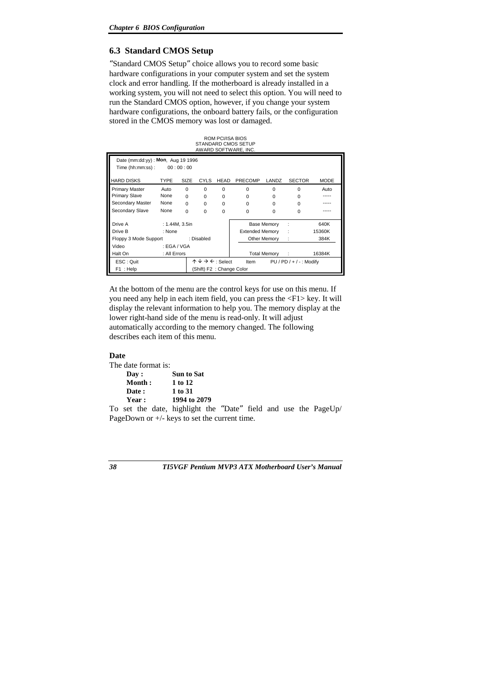#### **6.3 Standard CMOS Setup**

"Standard CMOS Setup" choice allows you to record some basic hardware configurations in your computer system and set the system clock and error handling. If the motherboard is already installed in a working system, you will not need to select this option. You will need to run the Standard CMOS option, however, if you change your system hardware configurations, the onboard battery fails, or the configuration stored in the CMOS memory was lost or damaged.

ROM PCI/ISA BIOS STANDARD CMOS SETUP AWARD SOFTWARE, INC.

| Date (mm:dd:yy) : Mon, Aug 19 1996<br>Time (hh:mm:ss) :<br>00:00:00 |                |             |                                               |             |                        |                     |                            |             |
|---------------------------------------------------------------------|----------------|-------------|-----------------------------------------------|-------------|------------------------|---------------------|----------------------------|-------------|
| <b>HARD DISKS</b>                                                   | <b>TYPE</b>    | <b>SIZE</b> | <b>CYLS</b>                                   | <b>HEAD</b> | <b>PRECOMP</b>         | LANDZ               | <b>SECTOR</b>              | <b>MODE</b> |
| <b>Primary Master</b>                                               | Auto           | $\Omega$    | $\Omega$                                      | $\Omega$    | $\Omega$               | $\Omega$            | $\Omega$                   | Auto        |
| <b>Primary Slave</b>                                                | None           | $\Omega$    | $\Omega$                                      | $\Omega$    | $\Omega$               | $\Omega$            | <sup>0</sup>               |             |
| Secondary Master                                                    | None           | $\Omega$    | $\Omega$                                      | $\Omega$    | $\Omega$               | $\Omega$            | $\Omega$                   |             |
| Secondary Slave                                                     | None           | $\Omega$    | 0                                             | $\Omega$    | $\Omega$               | $\Omega$            | $\Omega$                   |             |
| Drive A                                                             | : 1.44M, 3.5in |             |                                               |             |                        | <b>Base Memory</b>  |                            | 640K        |
| Drive B                                                             | : None         |             |                                               |             | <b>Extended Memory</b> |                     | ÷                          | 15360K      |
| Floppy 3 Mode Support                                               |                |             | : Disabled                                    |             |                        | Other Memory        | ÷                          | 384K        |
| Video                                                               | : EGA / VGA    |             |                                               |             |                        |                     |                            |             |
| Halt On                                                             | : All Errors   |             |                                               |             |                        | <b>Total Memory</b> | $\sim$ 1.                  | 16384K      |
| ESC: Quit                                                           |                |             | $\wedge \vee \rightarrow \leftarrow :$ Select |             | <b>Item</b>            |                     | $PU / PD / + / -$ : Modify |             |
| F1: Help                                                            |                |             | (Shift) F2 : Change Color                     |             |                        |                     |                            |             |

At the bottom of the menu are the control keys for use on this menu. If you need any help in each item field, you can press the <F1> key. It will display the relevant information to help you. The memory display at the lower right-hand side of the menu is read-only. It will adjust automatically according to the memory changed. The following describes each item of this menu.

# **Date**

| The date format is:                     |                   |
|-----------------------------------------|-------------------|
| $\mathbf{D}$ av:                        | <b>Sun to Sat</b> |
| Month:                                  | 1 to 12           |
| Date:                                   | 1 to 31           |
| Year :                                  | 1994 to 2079      |
| $T_{\Omega}$ set the date highlight the |                   |

To set the date, highlight the "Date" field and use the PageUp/ PageDown or +/- keys to set the current time.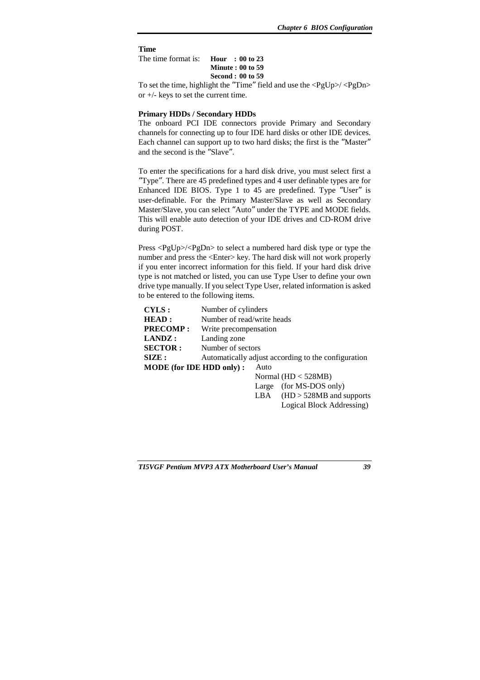#### **Time**

The time format is: **Hour : 00 to 23 Minute : 00 to 59 Second : 00 to 59** 

To set the time, highlight the "Time" field and use the  $\langle PgUp \rangle / \langle PgDn \rangle$ or +/- keys to set the current time.

# **Primary HDDs / Secondary HDDs**

The onboard PCI IDE connectors provide Primary and Secondary channels for connecting up to four IDE hard disks or other IDE devices. Each channel can support up to two hard disks; the first is the "Master" and the second is the "Slave".

To enter the specifications for a hard disk drive, you must select first a "Type". There are 45 predefined types and 4 user definable types are for Enhanced IDE BIOS. Type 1 to 45 are predefined. Type "User" is user-definable. For the Primary Master/Slave as well as Secondary Master/Slave, you can select "Auto" under the TYPE and MODE fields. This will enable auto detection of your IDE drives and CD-ROM drive during POST.

Press <PgUp>/<PgDn> to select a numbered hard disk type or type the number and press the <Enter> key. The hard disk will not work properly if you enter incorrect information for this field. If your hard disk drive type is not matched or listed, you can use Type User to define your own drive type manually. If you select Type User, related information is asked to be entered to the following items.

| CYLS:                    | Number of cylinders        |       |                                                     |  |  |
|--------------------------|----------------------------|-------|-----------------------------------------------------|--|--|
| <b>HEAD:</b>             | Number of read/write heads |       |                                                     |  |  |
| <b>PRECOMP:</b>          | Write precompensation      |       |                                                     |  |  |
| LANDZ:                   | Landing zone               |       |                                                     |  |  |
| <b>SECTOR:</b>           | Number of sectors          |       |                                                     |  |  |
| SIZE:                    |                            |       | Automatically adjust according to the configuration |  |  |
| MODE (for IDE HDD only): |                            | Auto  |                                                     |  |  |
|                          |                            |       | Normal ( $HD < 528MB$ )                             |  |  |
|                          |                            | Large | (for MS-DOS only)                                   |  |  |
|                          |                            | I RA  | $(HD > 528MR$ and supports                          |  |  |

ına supports Logical Block Addressing)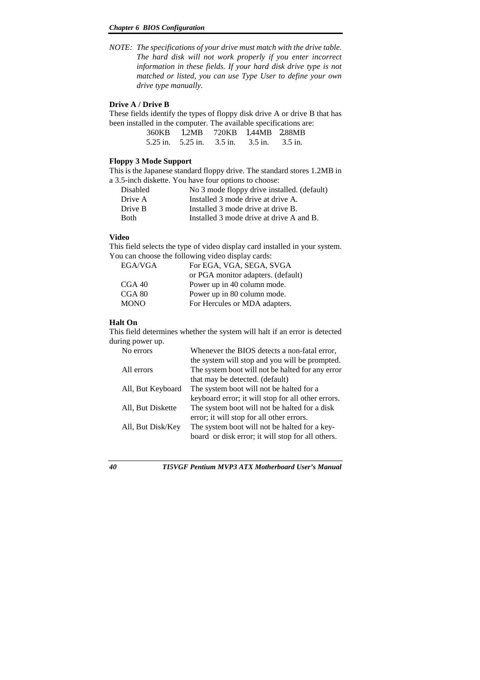*NOTE: The specifications of your drive must match with the drive table. The hard disk will not work properly if you enter incorrect information in these fields. If your hard disk drive type is not matched or listed, you can use Type User to define your own drive type manually.* 

# **Drive A / Drive B**

These fields identify the types of floppy disk drive A or drive B that has been installed in the computer. The available specifications are:

|  |  | 360KB 1.2MB 720KB 1.44MB 2.88MB           |  |
|--|--|-------------------------------------------|--|
|  |  | 5.25 in. 5.25 in. 3.5 in. 3.5 in. 3.5 in. |  |

# **Floppy 3 Mode Support**

This is the Japanese standard floppy drive. The standard stores 1.2MB in a 3.5-inch diskette. You have four options to choose:

| <b>Disabled</b> | No 3 mode floppy drive installed. (default) |
|-----------------|---------------------------------------------|
| Drive A         | Installed 3 mode drive at drive A.          |
| Drive B         | Installed 3 mode drive at drive B.          |
| <b>Both</b>     | Installed 3 mode drive at drive A and B.    |

#### **Video**

This field selects the type of video display card installed in your system. You can choose the following video display cards:

| For EGA, VGA, SEGA, SVGA           |
|------------------------------------|
| or PGA monitor adapters. (default) |
| Power up in 40 column mode.        |
| Power up in 80 column mode.        |
| For Hercules or MDA adapters.      |
|                                    |

# **Halt On**

This field determines whether the system will halt if an error is detected during power up.

| No errors         | Whenever the BIOS detects a non-fatal error,       |  |
|-------------------|----------------------------------------------------|--|
|                   | the system will stop and you will be prompted.     |  |
| All errors        | The system boot will not be halted for any error   |  |
|                   | that may be detected. (default)                    |  |
| All, But Keyboard | The system boot will not be halted for a           |  |
|                   | keyboard error; it will stop for all other errors. |  |
| All, But Diskette | The system boot will not be halted for a disk      |  |
|                   | error; it will stop for all other errors.          |  |
| All, But Disk/Key | The system boot will not be halted for a key-      |  |
|                   | board or disk error; it will stop for all others.  |  |
|                   |                                                    |  |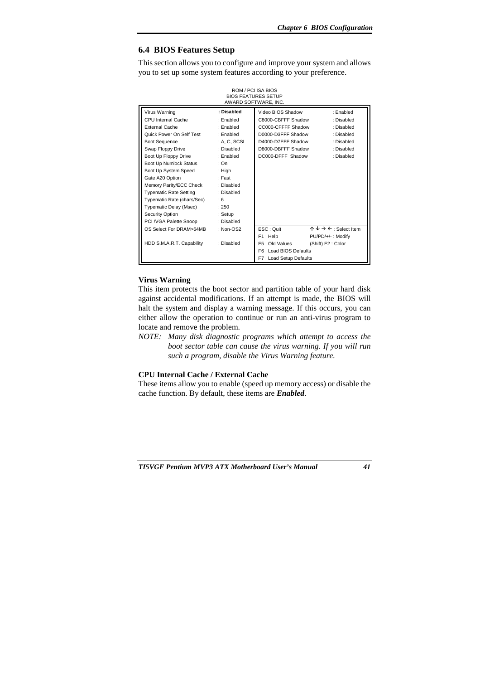# **6.4 BIOS Features Setup**

This section allows you to configure and improve your system and allows you to set up some system features according to your preference.

| ROM / PCI ISA BIOS<br><b>BIOS FEATURES SETUP</b><br>AWARD SOFTWARE, INC.                                                                                                                                        |                                                                                                                |                                                                                                                                                      |                                                                                               |  |  |  |
|-----------------------------------------------------------------------------------------------------------------------------------------------------------------------------------------------------------------|----------------------------------------------------------------------------------------------------------------|------------------------------------------------------------------------------------------------------------------------------------------------------|-----------------------------------------------------------------------------------------------|--|--|--|
| Virus Warning<br>CPU Internal Cache<br><b>External Cache</b><br>Quick Power On Self Test<br><b>Boot Sequence</b><br>Swap Floppy Drive<br>Boot Up Floppy Drive<br>Boot Up Numlock Status<br>Boot Up System Speed | : Disabled<br>: Enabled<br>· Enabled<br>: Enabled<br>: A, C, SCSI<br>: Disabled<br>: Enabled<br>: On<br>: High | Video BIOS Shadow<br>C8000-CBFFF Shadow<br>CC000-CFFFF Shadow<br>D0000-D3FFF Shadow<br>D4000-D7FFF Shadow<br>D8000-DBFFF Shadow<br>DC000-DFFF Shadow | : Enabled<br>: Disabled<br>: Disabled<br>: Disabled<br>: Disabled<br>: Disabled<br>: Disabled |  |  |  |
| Gate A20 Option<br>Memory Parity/ECC Check<br><b>Typematic Rate Setting</b><br>Typematic Rate (chars/Sec)<br>Typematic Delay (Msec)<br>Security Option<br>PCI /VGA Palette Snoop                                | : Fast<br>: Disabled<br>: Disabled<br>: 6<br>:250<br>: Setup<br>: Disabled                                     |                                                                                                                                                      |                                                                                               |  |  |  |
| OS Select For DRAM>64MB<br>HDD S.M.A.R.T. Capability                                                                                                                                                            | : $Non-OS2$<br>: Disabled                                                                                      | ESC: Quit<br>F1 : Help<br>F5: Old Values<br>F6: Load BIOS Defaults<br>F7: Load Setup Defaults                                                        | $\wedge \vee \rightarrow \leftarrow$ : Select Item<br>PU/PD/+/-: Modify<br>(Shift) F2 : Color |  |  |  |

#### **Virus Warning**

This item protects the boot sector and partition table of your hard disk against accidental modifications. If an attempt is made, the BIOS will halt the system and display a warning message. If this occurs, you can either allow the operation to continue or run an anti-virus program to locate and remove the problem.

*NOTE: Many disk diagnostic programs which attempt to access the boot sector table can cause the virus warning. If you will run such a program, disable the Virus Warning feature.* 

# **CPU Internal Cache / External Cache**

These items allow you to enable (speed up memory access) or disable the cache function. By default, these items are *Enabled*.

*TI5VGF Pentium MVP3 ATX Motherboard User's Manual 41*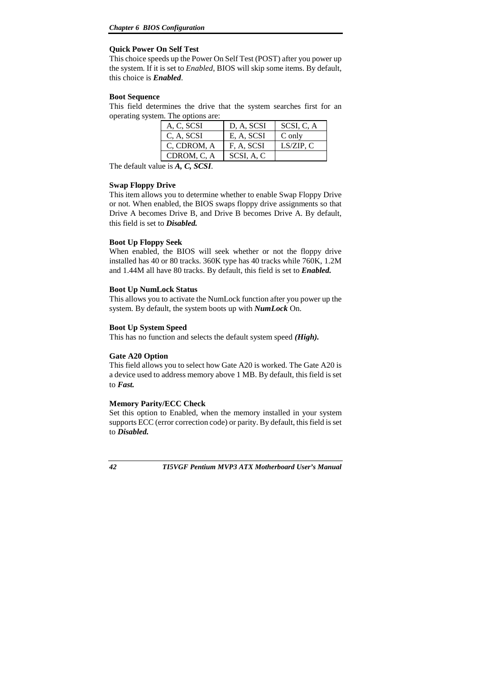#### **Quick Power On Self Test**

This choice speeds up the Power On Self Test (POST) after you power up the system. If it is set to *Enabled*, BIOS will skip some items. By default, this choice is *Enabled*.

#### **Boot Sequence**

This field determines the drive that the system searches first for an operating system. The options are:

| A, C, SCSI  | D, A, SCSI | SCSI, C, A |
|-------------|------------|------------|
| C. A. SCSI  | E, A, SCSI | C only     |
| C, CDROM, A | F, A, SCSI | LS/ZIP, C  |
| CDROM, C, A | SCSI, A, C |            |

The default value is *A, C, SCSI*.

#### **Swap Floppy Drive**

This item allows you to determine whether to enable Swap Floppy Drive or not. When enabled, the BIOS swaps floppy drive assignments so that Drive A becomes Drive B, and Drive B becomes Drive A. By default, this field is set to *Disabled.*

#### **Boot Up Floppy Seek**

When enabled, the BIOS will seek whether or not the floppy drive installed has 40 or 80 tracks. 360K type has 40 tracks while 760K, 1.2M and 1.44M all have 80 tracks. By default, this field is set to *Enabled.*

#### **Boot Up NumLock Status**

This allows you to activate the NumLock function after you power up the system. By default, the system boots up with *NumLock* On.

#### **Boot Up System Speed**

This has no function and selects the default system speed *(High).*

#### **Gate A20 Option**

This field allows you to select how Gate A20 is worked. The Gate A20 is a device used to address memory above 1 MB. By default, this field is set to *Fast.*

# **Memory Parity/ECC Check**

Set this option to Enabled, when the memory installed in your system supports ECC (error correction code) or parity. By default, this field is set to *Disabled.*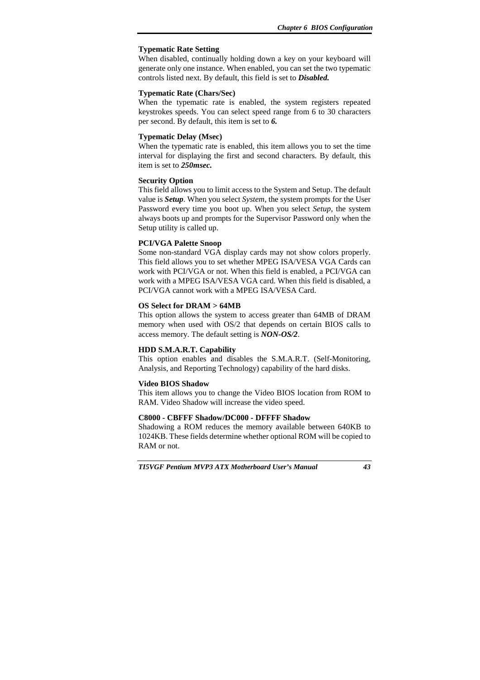#### **Typematic Rate Setting**

When disabled, continually holding down a key on your keyboard will generate only one instance. When enabled, you can set the two typematic controls listed next. By default, this field is set to *Disabled.* 

#### **Typematic Rate (Chars/Sec)**

When the typematic rate is enabled, the system registers repeated keystrokes speeds. You can select speed range from 6 to 30 characters per second. By default, this item is set to *6.*

#### **Typematic Delay (Msec)**

When the typematic rate is enabled, this item allows you to set the time interval for displaying the first and second characters. By default, this item is set to *250msec.* 

#### **Security Option**

This field allows you to limit access to the System and Setup. The default value is *Setup*. When you select *System,* the system prompts for the User Password every time you boot up. When you select *Setup,* the system always boots up and prompts for the Supervisor Password only when the Setup utility is called up.

# **PCI/VGA Palette Snoop**

Some non-standard VGA display cards may not show colors properly. This field allows you to set whether MPEG ISA/VESA VGA Cards can work with PCI/VGA or not. When this field is enabled, a PCI/VGA can work with a MPEG ISA/VESA VGA card. When this field is disabled, a PCI/VGA cannot work with a MPEG ISA/VESA Card.

#### **OS Select for DRAM > 64MB**

This option allows the system to access greater than 64MB of DRAM memory when used with OS/2 that depends on certain BIOS calls to access memory. The default setting is *NON-OS/2*.

#### **HDD S.M.A.R.T. Capability**

This option enables and disables the S.M.A.R.T. (Self-Monitoring, Analysis, and Reporting Technology) capability of the hard disks.

#### **Video BIOS Shadow**

This item allows you to change the Video BIOS location from ROM to RAM. Video Shadow will increase the video speed.

#### **C8000 - CBFFF Shadow/DC000 - DFFFF Shadow**

Shadowing a ROM reduces the memory available between 640KB to 1024KB. These fields determine whether optional ROM will be copied to RAM or not.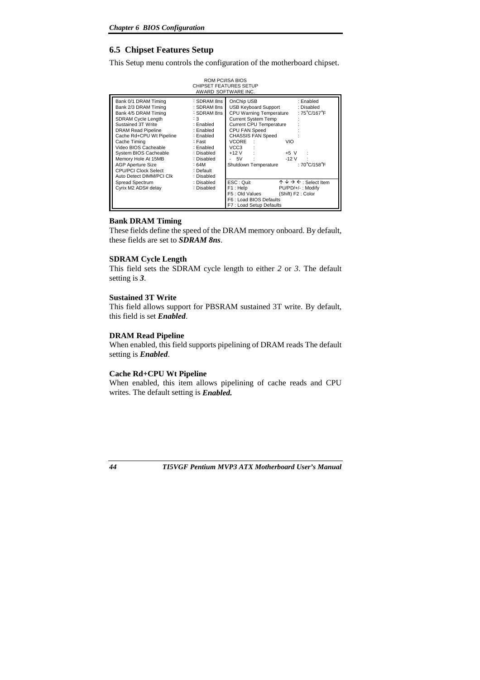# **6.5 Chipset Features Setup**

This Setup menu controls the configuration of the motherboard chipset.

| ROM PCI/ISA BIOS<br><b>CHIPSET FEATURES SETUP</b><br>AWARD SOFTWARE INC.                                                                                                                                                                                                                                                                                 |                                                                                                                                                                              |                                                                                                                                                                                                                                                                                                                                                                                                |  |  |
|----------------------------------------------------------------------------------------------------------------------------------------------------------------------------------------------------------------------------------------------------------------------------------------------------------------------------------------------------------|------------------------------------------------------------------------------------------------------------------------------------------------------------------------------|------------------------------------------------------------------------------------------------------------------------------------------------------------------------------------------------------------------------------------------------------------------------------------------------------------------------------------------------------------------------------------------------|--|--|
| Bank 0/1 DRAM Timing<br>Bank 2/3 DRAM Timing<br>Bank 4/5 DRAM Timing<br><b>SDRAM Cycle Length</b><br>Sustained 3T Write<br>DRAM Read Pipeline<br>Cache Rd+CPU Wt Pipeline<br>Cache Timing<br>Video BIOS Cacheable<br>System BIOS Cacheable<br>Memory Hole At 15MB<br><b>AGP Aperture Size</b><br><b>CPU/PCI Clock Select</b><br>Auto Detect DIMM/PCI CIk | : SDRAM 8ns<br>: SDRAM 8ns<br>: SDRAM 8ns<br>:3<br>: Enabled<br>: Enabled<br>: Enabled<br>: Fast<br>: Enabled<br>: Disabled<br>: Disabled<br>:64M<br>: Default<br>: Disabled | OnChip USB<br>: Enabled<br><b>USB Keyboard Support</b><br>: Disabled<br>CPU Warning Temperature<br>: 75 $^{\circ}$ C/167 $^{\circ}$ F<br><b>Current System Temp</b><br><b>Current CPU Temperature</b><br><b>CPU FAN Speed</b><br><b>CHASSIS FAN Speed</b><br>VCORE<br><b>VIO</b><br>VCC3<br>$+12V$ :<br>$+5$ V<br>$-12V$<br>- 5V<br>Shutdown Temperature<br>: 70 $^{\circ}$ C/158 $^{\circ}$ F |  |  |
| Spread Spectrum<br>Cyrix M2 ADS# delay                                                                                                                                                                                                                                                                                                                   | : Disabled<br>: Disabled                                                                                                                                                     | ESC: Quit<br>$\uparrow \psi \rightarrow \leftarrow$ : Select Item<br>F1 : Help<br>PU/PD/+/-: Modify<br>F5: Old Values<br>(Shift) F2 : Color<br>F6: Load BIOS Defaults<br>F7: Load Setup Defaults                                                                                                                                                                                               |  |  |

#### **Bank DRAM Timing**

These fields define the speed of the DRAM memory onboard. By default, these fields are set to *SDRAM 8ns*.

# **SDRAM Cycle Length**

This field sets the SDRAM cycle length to either *2* or *3*. The default setting is *3*.

#### **Sustained 3T Write**

This field allows support for PBSRAM sustained 3T write. By default, this field is set *Enabled*.

# **DRAM Read Pipeline**

When enabled, this field supports pipelining of DRAM reads The default setting is *Enabled*.

### **Cache Rd+CPU Wt Pipeline**

When enabled, this item allows pipelining of cache reads and CPU writes. The default setting is *Enabled.*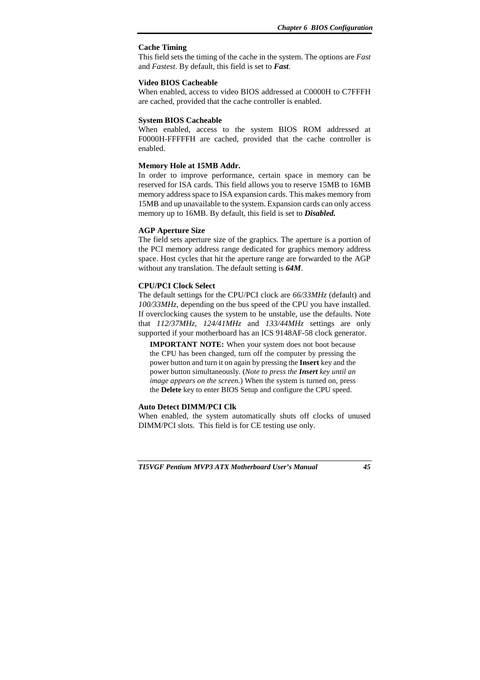# **Cache Timing**

This field sets the timing of the cache in the system. The options are *Fast* and *Fastest*. By default, this field is set to *Fast*.

#### **Video BIOS Cacheable**

When enabled, access to video BIOS addressed at C0000H to C7FFFH are cached, provided that the cache controller is enabled.

#### **System BIOS Cacheable**

When enabled, access to the system BIOS ROM addressed at F0000H-FFFFFH are cached, provided that the cache controller is enabled.

#### **Memory Hole at 15MB Addr.**

In order to improve performance, certain space in memory can be reserved for ISA cards. This field allows you to reserve 15MB to 16MB memory address space to ISA expansion cards. This makes memory from 15MB and up unavailable to the system. Expansion cards can only access memory up to 16MB. By default, this field is set to *Disabled.* 

#### **AGP Aperture Size**

The field sets aperture size of the graphics. The aperture is a portion of the PCI memory address range dedicated for graphics memory address space. Host cycles that hit the aperture range are forwarded to the AGP without any translation. The default setting is *64M*.

#### **CPU/PCI Clock Select**

The default settings for the CPU/PCI clock are *66/33MHz* (default) and *100/33MHz*, depending on the bus speed of the CPU you have installed. If overclocking causes the system to be unstable, use the defaults. Note that *112/37MHz*, *124/41MHz* and *133/44MHz* settings are only supported if your motherboard has an ICS 9148AF-58 clock generator.

**IMPORTANT NOTE:** When your system does not boot because the CPU has been changed, turn off the computer by pressing the power button and turn it on again by pressing the **Insert** key and the power button simultaneously. (*Note to press the Insert key until an image appears on the screen.*) When the system is turned on, press the **Delete** key to enter BIOS Setup and configure the CPU speed.

#### **Auto Detect DIMM/PCI Clk**

When enabled, the system automatically shuts off clocks of unused DIMM/PCI slots. This field is for CE testing use only.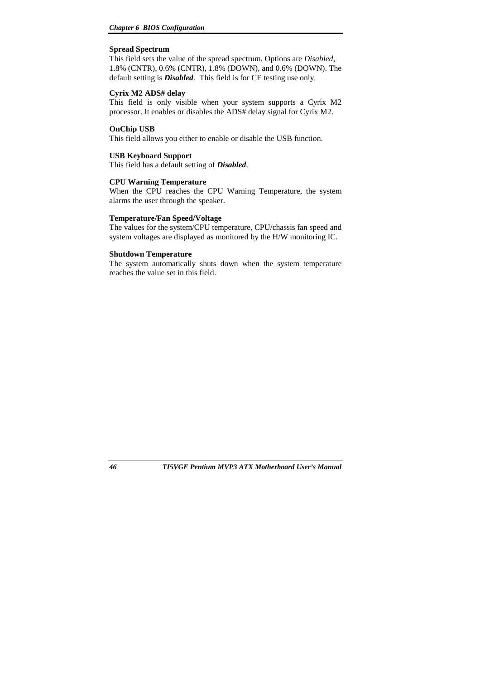# **Spread Spectrum**

This field sets the value of the spread spectrum. Options are *Disabled*, 1.8% (CNTR), 0.6% (CNTR), 1.8% (DOWN), and 0.6% (DOWN). The default setting is *Disabled*. This field is for CE testing use only.

# **Cyrix M2 ADS# delay**

This field is only visible when your system supports a Cyrix M2 processor. It enables or disables the ADS# delay signal for Cyrix M2.

# **OnChip USB**

This field allows you either to enable or disable the USB function.

# **USB Keyboard Support**

This field has a default setting of *Disabled*.

# **CPU Warning Temperature**

When the CPU reaches the CPU Warning Temperature, the system alarms the user through the speaker.

# **Temperature/Fan Speed/Voltage**

The values for the system/CPU temperature, CPU/chassis fan speed and system voltages are displayed as monitored by the H/W monitoring IC.

# **Shutdown Temperature**

The system automatically shuts down when the system temperature reaches the value set in this field.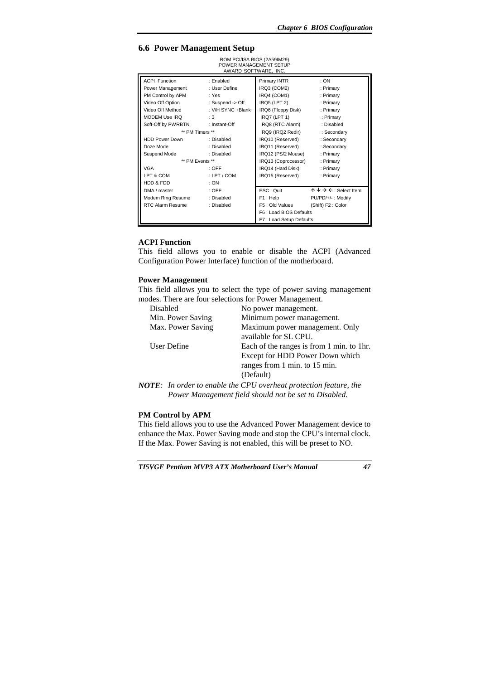# **6.6 Power Management Setup**

| AWARD SOFTWARE, INC.  |                   |                         |                                                      |
|-----------------------|-------------------|-------------------------|------------------------------------------------------|
| <b>ACPI Function</b>  | : Enabled         | Primary INTR            | :ON                                                  |
| Power Management      | : User Define     | IRQ3 (COM2)             | : Primary                                            |
| PM Control by APM     | : Yes             | IRQ4 (COM1)             | : Primary                                            |
| Video Off Option      | : Suspend -> Off  | <b>IRQ5 (LPT 2)</b>     | : Primary                                            |
| Video Off Method      | : V/H SYNC +Blank | IRQ6 (Floppy Disk)      | : Primary                                            |
| MODEM Use IRQ         | :3                | IRQ7 (LPT 1)            | : Primary                                            |
| Soft-Off by PWRBTN    | : Instant-Off     | IRQ8 (RTC Alarm)        | : Disabled                                           |
| ** PM Timers **       |                   | IRQ9 (IRQ2 Redir)       | : Secondary                                          |
| <b>HDD Power Down</b> | : Disabled        | IRQ10 (Reserved)        | : Secondary                                          |
| Doze Mode             | : Disabled        | IRQ11 (Reserved)        | : Secondary                                          |
| Suspend Mode          | : Disabled        | IRQ12 (PS/2 Mouse)      | : Primary                                            |
| ** PM Events **       |                   | IRQ13 (Coprocessor)     | : Primary                                            |
| <b>VGA</b>            | $:$ OFF           | IRQ14 (Hard Disk)       | : Primary                                            |
| LPT & COM             | : LPT / COM       | IRQ15 (Reserved)        | : Primary                                            |
| HDD & FDD             | : ON              |                         |                                                      |
| DMA / master          | $:$ OFF           | ESC : Quit              | $\uparrow \psi \rightarrow \leftarrow$ : Select Item |
| Modem Ring Resume     | : Disabled        | F1 : Help               | PU/PD/+/-: Modify                                    |
| RTC Alarm Resume      | : Disabled        | F5: Old Values          | (Shift) F2: Color                                    |
|                       |                   | F6 : Load BIOS Defaults |                                                      |
|                       |                   | F7: Load Setup Defaults |                                                      |

#### ROM PCI/ISA BIOS (2A59IM29) POWER MANAGEMENT SETUP

# **ACPI Function**

This field allows you to enable or disable the ACPI (Advanced Configuration Power Interface) function of the motherboard.

#### **Power Management**

This field allows you to select the type of power saving management modes. There are four selections for Power Management.

| Disabled              | No power management.                              |
|-----------------------|---------------------------------------------------|
| Min. Power Saving     | Minimum power management.                         |
| Max. Power Saving     | Maximum power management. Only                    |
|                       | available for SL CPU.                             |
| User Define           | Each of the ranges is from 1 min. to 1hr.         |
|                       | Except for HDD Power Down which                   |
|                       | ranges from 1 min. to 15 min.                     |
|                       | (Default)                                         |
| $\lambda$ <i>iomn</i> | $I \cup I$ and $I \cap II$ is a set of $I \cup I$ |

*NOTE: In order to enable the CPU overheat protection feature, the Power Management field should not be set to Disabled.* 

# **PM Control by APM**

This field allows you to use the Advanced Power Management device to enhance the Max. Power Saving mode and stop the CPU's internal clock. If the Max. Power Saving is not enabled, this will be preset to NO.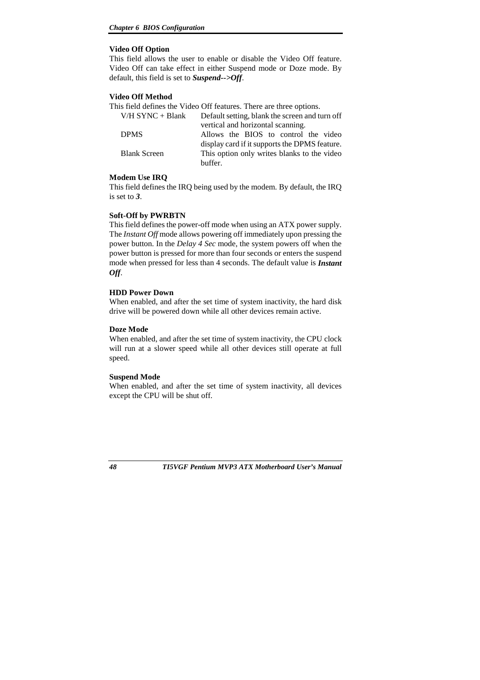# **Video Off Option**

This field allows the user to enable or disable the Video Off feature. Video Off can take effect in either Suspend mode or Doze mode. By default, this field is set to *Suspend-->Off*.

#### **Video Off Method**

|                     | This field defines the Video Off features. There are three options. |
|---------------------|---------------------------------------------------------------------|
| $V/H$ SYNC + Blank  | Default setting, blank the screen and turn off                      |
|                     | vertical and horizontal scanning.                                   |
| <b>DPMS</b>         | Allows the BIOS to control the video                                |
|                     | display card if it supports the DPMS feature.                       |
| <b>Blank Screen</b> | This option only writes blanks to the video                         |
|                     | buffer.                                                             |
|                     |                                                                     |

#### **Modem Use IRQ**

This field defines the IRQ being used by the modem. By default, the IRQ is set to *3*.

# **Soft-Off by PWRBTN**

This field defines the power-off mode when using an ATX power supply. The *Instant Off* mode allows powering off immediately upon pressing the power button. In the *Delay 4 Sec* mode, the system powers off when the power button is pressed for more than four seconds or enters the suspend mode when pressed for less than 4 seconds. The default value is *Instant Off*.

#### **HDD Power Down**

When enabled, and after the set time of system inactivity, the hard disk drive will be powered down while all other devices remain active.

#### **Doze Mode**

When enabled, and after the set time of system inactivity, the CPU clock will run at a slower speed while all other devices still operate at full speed.

# **Suspend Mode**

When enabled, and after the set time of system inactivity, all devices except the CPU will be shut off.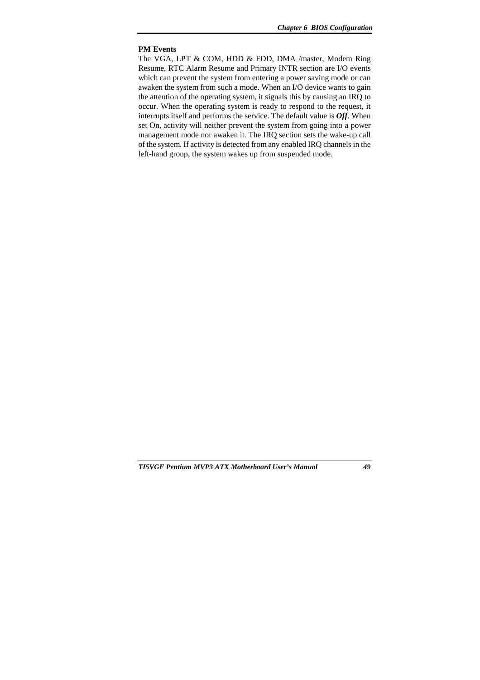#### **PM Events**

The VGA, LPT & COM, HDD & FDD, DMA /master, Modem Ring Resume, RTC Alarm Resume and Primary INTR section are I/O events which can prevent the system from entering a power saving mode or can awaken the system from such a mode. When an I/O device wants to gain the attention of the operating system, it signals this by causing an IRQ to occur. When the operating system is ready to respond to the request, it interrupts itself and performs the service. The default value is *Off*. When set On, activity will neither prevent the system from going into a power management mode nor awaken it. The IRQ section sets the wake-up call of the system. If activity is detected from any enabled IRQ channels in the left-hand group, the system wakes up from suspended mode.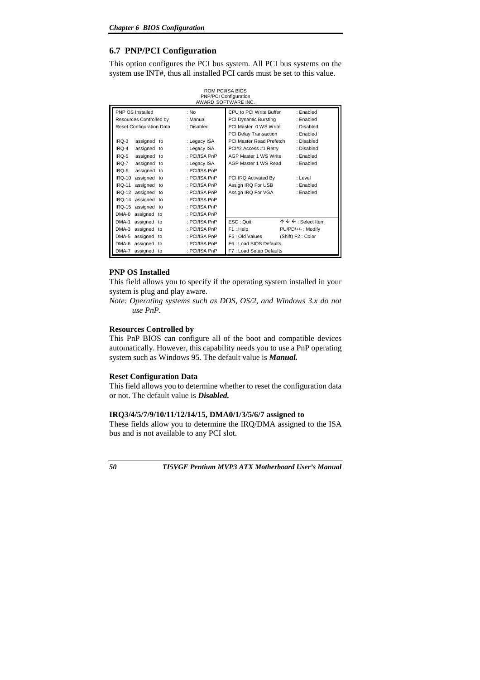# **6.7 PNP/PCI Configuration**

This option configures the PCI bus system. All PCI bus systems on the system use INT#, thus all installed PCI cards must be set to this value.

| ROM PCI/ISA BIOS<br>PNP/PCI Configuration<br>AWARD SOFTWARE INC. |               |                          |                                          |  |
|------------------------------------------------------------------|---------------|--------------------------|------------------------------------------|--|
| PNP OS Installed                                                 | : No          | CPU to PCI Write Buffer  | : Enabled                                |  |
| Resources Controlled by                                          | : Manual      | PCI Dynamic Bursting     | : Enabled                                |  |
| <b>Reset Configuration Data</b>                                  | : Disabled    | PCI Master 0 WS Write    | : Disabled                               |  |
|                                                                  |               | PCI Delay Transaction    | : Enabled                                |  |
| IRQ-3<br>assigned to                                             | : Legacy ISA  | PCI Master Read Prefetch | : Disabled                               |  |
| IRQ-4<br>assigned to                                             | : Legacy ISA  | PCI#2 Access #1 Retry    | : Disabled                               |  |
| IRQ-5<br>assigned to                                             | : PCI/ISA PnP | AGP Master 1 WS Write    | : Enabled                                |  |
| IRO-7<br>assigned to                                             | : Legacy ISA  | AGP Master 1 WS Read     | : Enabled                                |  |
| IRQ-9<br>assigned to                                             | : PCI/ISA PnP |                          |                                          |  |
| <b>IRQ-10</b><br>assigned to                                     | : PCI/ISA PnP | PCI IRQ Activated By     | : Level                                  |  |
| <b>IRQ-11</b><br>assigned to                                     | : PCI/ISA PnP | Assign IRQ For USB       | : Enabled                                |  |
| <b>IRQ-12</b><br>assigned to                                     | : PCI/ISA PnP | Assign IRQ For VGA       | : Enabled                                |  |
| IRQ-14 assigned to                                               | : PCI/ISA PnP |                          |                                          |  |
| <b>IRQ-15</b><br>assigned to                                     | : PCI/ISA PnP |                          |                                          |  |
| DMA-0<br>assigned to                                             | : PCI/ISA PnP |                          |                                          |  |
| DMA-1<br>assigned to                                             | : PCI/ISA PnP | ESC: Ouit                | $\uparrow \psi \leftarrow$ : Select Item |  |
| DMA-3<br>assigned<br>to                                          | : PCI/ISA PnP | F1: Help                 | PU/PD/+/-: Modify                        |  |
| assigned<br>DMA-5<br>to                                          | : PCI/ISA PnP | F5: Old Values           | (Shift) F2 : Color                       |  |
| DMA-6<br>assigned to                                             | : PCI/ISA PnP | F6: Load BIOS Defaults   |                                          |  |
| DMA-7<br>assigned to                                             | : PCI/ISA PnP | F7: Load Setup Defaults  |                                          |  |

# **PNP OS Installed**

This field allows you to specify if the operating system installed in your system is plug and play aware.

*Note: Operating systems such as DOS, OS/2, and Windows 3.x do not use PnP.* 

#### **Resources Controlled by**

This PnP BIOS can configure all of the boot and compatible devices automatically. However, this capability needs you to use a PnP operating system such as Windows 95. The default value is *Manual.* 

#### **Reset Configuration Data**

This field allows you to determine whether to reset the configuration data or not. The default value is *Disabled.* 

#### **IRQ3/4/5/7/9/10/11/12/14/15, DMA0/1/3/5/6/7 assigned to**

These fields allow you to determine the IRQ/DMA assigned to the ISA bus and is not available to any PCI slot.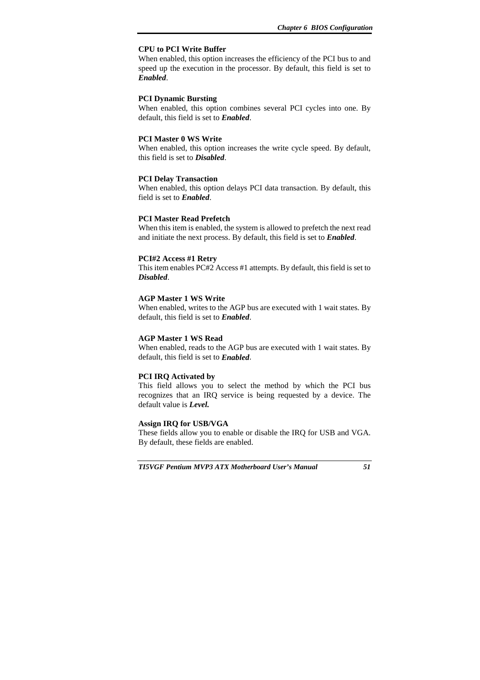# **CPU to PCI Write Buffer**

When enabled, this option increases the efficiency of the PCI bus to and speed up the execution in the processor. By default, this field is set to *Enabled*.

#### **PCI Dynamic Bursting**

When enabled, this option combines several PCI cycles into one. By default, this field is set to *Enabled*.

#### **PCI Master 0 WS Write**

When enabled, this option increases the write cycle speed. By default, this field is set to *Disabled*.

#### **PCI Delay Transaction**

When enabled, this option delays PCI data transaction. By default, this field is set to *Enabled*.

#### **PCI Master Read Prefetch**

When this item is enabled, the system is allowed to prefetch the next read and initiate the next process. By default, this field is set to *Enabled*.

#### **PCI#2 Access #1 Retry**

This item enables PC#2 Access #1 attempts. By default, this field is set to *Disabled*.

# **AGP Master 1 WS Write**

When enabled, writes to the AGP bus are executed with 1 wait states. By default, this field is set to *Enabled*.

# **AGP Master 1 WS Read**

When enabled, reads to the AGP bus are executed with 1 wait states. By default, this field is set to *Enabled*.

#### **PCI IRQ Activated by**

This field allows you to select the method by which the PCI bus recognizes that an IRQ service is being requested by a device. The default value is *Level.* 

#### **Assign IRQ for USB/VGA**

These fields allow you to enable or disable the IRQ for USB and VGA. By default, these fields are enabled.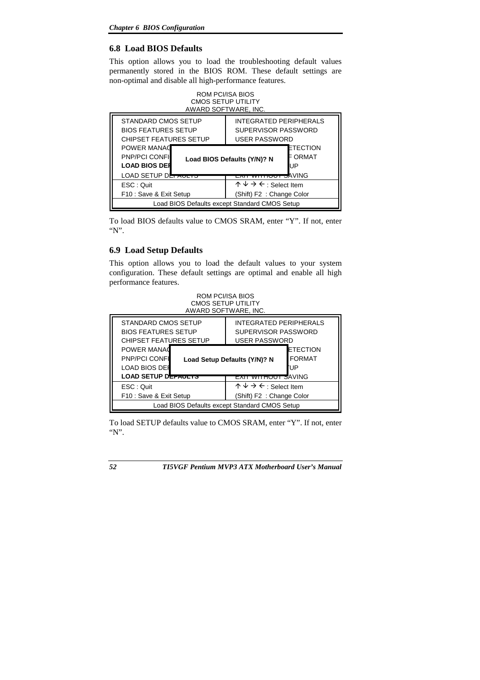# **6.8 Load BIOS Defaults**

This option allows you to load the troubleshooting default values permanently stored in the BIOS ROM. These default settings are non-optimal and disable all high-performance features.

| ROM PCI/ISA BIOS<br><b>CMOS SETUP UTILITY</b><br>AWARD SOFTWARE, INC.              |                                                               |                                      |  |
|------------------------------------------------------------------------------------|---------------------------------------------------------------|--------------------------------------|--|
| STANDARD CMOS SETUP<br><b>INTEGRATED PERIPHERALS</b><br><b>BIOS FEATURES SETUP</b> |                                                               |                                      |  |
| <b>CHIPSET FEATURES SETUP</b>                                                      |                                                               | SUPERVISOR PASSWORD<br>USER PASSWORD |  |
| POWER MANAD                                                                        |                                                               | ETECTION<br>ORMAT                    |  |
| <b>PNP/PCI CONFI</b><br><b>LOAD BIOS DER</b>                                       | Load BIOS Defaults (Y/N)? N                                   |                                      |  |
| LOAD SETUP DET ROLTO                                                               |                                                               |                                      |  |
| ESC: Quit                                                                          | AVING<br>$\uparrow \psi \rightarrow \leftarrow$ : Select Item |                                      |  |
| F10 : Save & Exit Setup                                                            |                                                               | (Shift) F2: Change Color             |  |
| Load BIOS Defaults except Standard CMOS Setup                                      |                                                               |                                      |  |

To load BIOS defaults value to CMOS SRAM, enter "Y". If not, enter "N".

# **6.9 Load Setup Defaults**

This option allows you to load the default values to your system configuration. These default settings are optimal and enable all high performance features.

| ROM PCI/ISA BIOS<br><b>CMOS SETUP UTILITY</b><br>AWARD SOFTWARE, INC.                                     |                                                      |  |  |
|-----------------------------------------------------------------------------------------------------------|------------------------------------------------------|--|--|
| STANDARD CMOS SETUP<br><b>INTEGRATED PERIPHERALS</b><br><b>BIOS FEATURES SETUP</b><br>SUPERVISOR PASSWORD |                                                      |  |  |
| <b>CHIPSET FEATURES SETUP</b><br>POWER MANAD<br><b>PNP/PCI CONFI</b><br><b>LOAD BIOS DER</b>              | USER PASSWORD<br>Load Setup Defaults (Y/N)? N        |  |  |
| <b>LOAD SETUP DEFAULTS</b>                                                                                | <b>WITHOUT SAVING</b><br>EXIT                        |  |  |
| ESC: Quit                                                                                                 | $\uparrow \psi \rightarrow \leftarrow$ : Select Item |  |  |
| F10 : Save & Exit Setup                                                                                   | (Shift) F2: Change Color                             |  |  |
| Load BIOS Defaults except Standard CMOS Setup                                                             |                                                      |  |  |

To load SETUP defaults value to CMOS SRAM, enter "Y". If not, enter "N".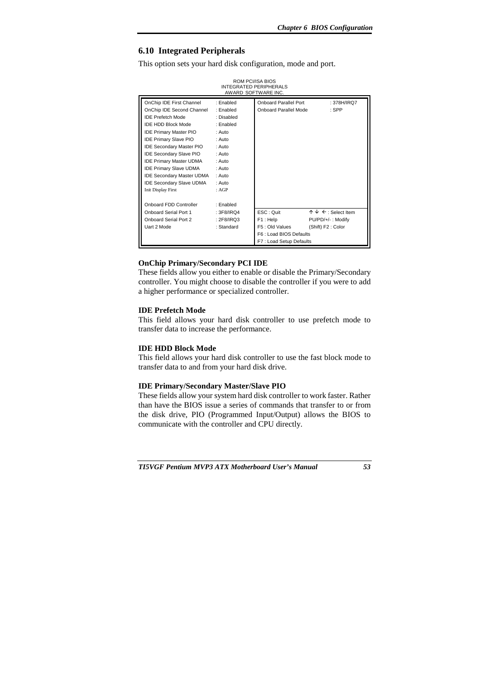# **6.10 Integrated Peripherals**

This option sets your hard disk configuration, mode and port.

| IN EGRATED PERIPHERALS<br>AWARD SOFTWARE INC.                                                                                                                                                                                                                                                                                                                                                          |                                                                                                                                            |                                                |                                                |  |
|--------------------------------------------------------------------------------------------------------------------------------------------------------------------------------------------------------------------------------------------------------------------------------------------------------------------------------------------------------------------------------------------------------|--------------------------------------------------------------------------------------------------------------------------------------------|------------------------------------------------|------------------------------------------------|--|
| OnChip IDE First Channel<br>OnChip IDE Second Channel<br><b>IDE Prefetch Mode</b><br><b>IDE HDD Block Mode</b><br><b>IDE Primary Master PIO</b><br><b>IDE Primary Slave PIO</b><br>IDE Secondary Master PIO<br><b>IDE Secondary Slave PIO</b><br>IDE Primary Master UDMA<br><b>IDE Primary Slave UDMA</b><br><b>IDE Secondary Master UDMA</b><br><b>IDE Secondary Slave UDMA</b><br>Init Display First | : Enabled<br>: Enabled<br>: Disabled<br>: Enabled<br>: Auto<br>: Auto<br>: Auto<br>: Auto<br>: Auto<br>: Auto<br>: Auto<br>: Auto<br>: AGP | Onboard Parallel Port<br>Onboard Parallel Mode | : 378H/IRQ7<br>$:$ SPP                         |  |
| Onboard FDD Controller<br>Onboard Serial Port 1                                                                                                                                                                                                                                                                                                                                                        | : Enabled<br>: $3F8/IRQ4$                                                                                                                  | ESC: Quit                                      | $\uparrow \downarrow \leftarrow$ : Select Item |  |
| Onboard Serial Port 2                                                                                                                                                                                                                                                                                                                                                                                  | :2F8/IRQ3                                                                                                                                  | F1: Help                                       | PU/PD/+/-: Modify                              |  |
| Uart 2 Mode                                                                                                                                                                                                                                                                                                                                                                                            | : Standard                                                                                                                                 | F5: Old Values                                 | (Shift) F2 : Color                             |  |
|                                                                                                                                                                                                                                                                                                                                                                                                        |                                                                                                                                            | F6: Load BIOS Defaults                         |                                                |  |
|                                                                                                                                                                                                                                                                                                                                                                                                        |                                                                                                                                            | F7: Load Setup Defaults                        |                                                |  |

#### ROM PCI/ISA BIOS INTEGRATED PERIPHERALS

# **OnChip Primary/Secondary PCI IDE**

These fields allow you either to enable or disable the Primary/Secondary controller. You might choose to disable the controller if you were to add a higher performance or specialized controller.

#### **IDE Prefetch Mode**

This field allows your hard disk controller to use prefetch mode to transfer data to increase the performance.

#### **IDE HDD Block Mode**

This field allows your hard disk controller to use the fast block mode to transfer data to and from your hard disk drive.

#### **IDE Primary/Secondary Master/Slave PIO**

These fields allow your system hard disk controller to work faster. Rather than have the BIOS issue a series of commands that transfer to or from the disk drive, PIO (Programmed Input/Output) allows the BIOS to communicate with the controller and CPU directly.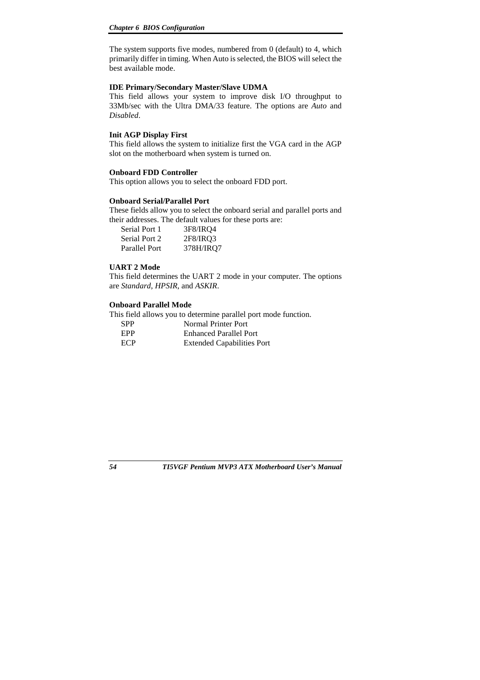The system supports five modes, numbered from 0 (default) to 4, which primarily differ in timing. When Auto is selected, the BIOS will select the best available mode.

# **IDE Primary/Secondary Master/Slave UDMA**

This field allows your system to improve disk I/O throughput to 33Mb/sec with the Ultra DMA/33 feature. The options are *Auto* and *Disabled*.

# **Init AGP Display First**

This field allows the system to initialize first the VGA card in the AGP slot on the motherboard when system is turned on.

# **Onboard FDD Controller**

This option allows you to select the onboard FDD port.

# **Onboard Serial/Parallel Port**

These fields allow you to select the onboard serial and parallel ports and their addresses. The default values for these ports are:

| Serial Port 1        | 3F8/IRO4  |
|----------------------|-----------|
| Serial Port 2        | 2F8/IRO3  |
| <b>Parallel Port</b> | 378H/IRQ7 |

#### **UART 2 Mode**

This field determines the UART 2 mode in your computer. The options are *Standard*, *HPSIR*, and *ASKIR*.

# **Onboard Parallel Mode**

This field allows you to determine parallel port mode function.

| <b>SPP</b> | Normal Printer Port               |
|------------|-----------------------------------|
| EPP        | <b>Enhanced Parallel Port</b>     |
| ECP        | <b>Extended Capabilities Port</b> |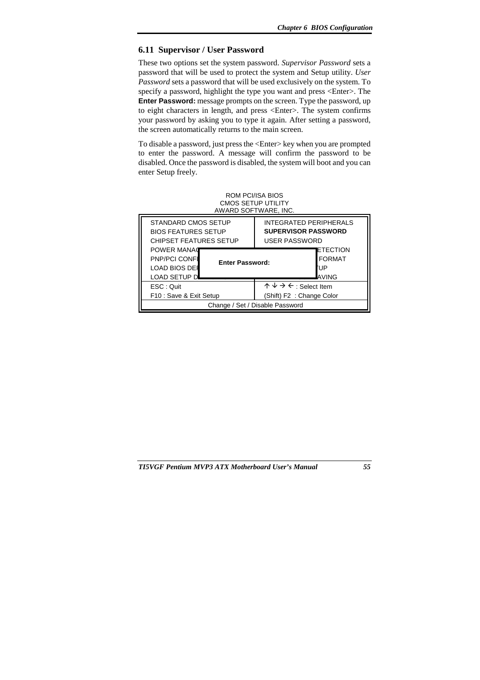# **6.11 Supervisor / User Password**

These two options set the system password. *Supervisor Password* sets a password that will be used to protect the system and Setup utility. *User Password* sets a password that will be used exclusively on the system. To specify a password, highlight the type you want and press <Enter>. The **Enter Password:** message prompts on the screen. Type the password, up to eight characters in length, and press <Enter>. The system confirms your password by asking you to type it again. After setting a password, the screen automatically returns to the main screen.

To disable a password, just press the <Enter> key when you are prompted to enter the password. A message will confirm the password to be disabled. Once the password is disabled, the system will boot and you can enter Setup freely.

| ROM PCI/ISA BIOS<br>CMOS SETUP UTILITY<br>AWARD SOFTWARE, INC.                     |                        |                                                                              |                                           |  |
|------------------------------------------------------------------------------------|------------------------|------------------------------------------------------------------------------|-------------------------------------------|--|
| STANDARD CMOS SETUP<br><b>BIOS FEATURES SETUP</b><br><b>CHIPSET FEATURES SETUP</b> |                        | <b>INTEGRATED PERIPHERALS</b><br><b>SUPERVISOR PASSWORD</b><br>USER PASSWORD |                                           |  |
| POWER MANAC<br><b>PNP/PCI CONFI</b><br><b>LOAD BIOS DER</b><br><b>LOAD SETUP D</b> | <b>Enter Password:</b> |                                                                              | ETECTION<br><b>FORMAT</b><br>'UΡ<br>AVING |  |
| ESC: Ouit                                                                          |                        | $\uparrow \psi \rightarrow \leftarrow$ : Select Item                         |                                           |  |
| F10 : Save & Exit Setup                                                            |                        | (Shift) F2: Change Color                                                     |                                           |  |
| Change / Set / Disable Password                                                    |                        |                                                                              |                                           |  |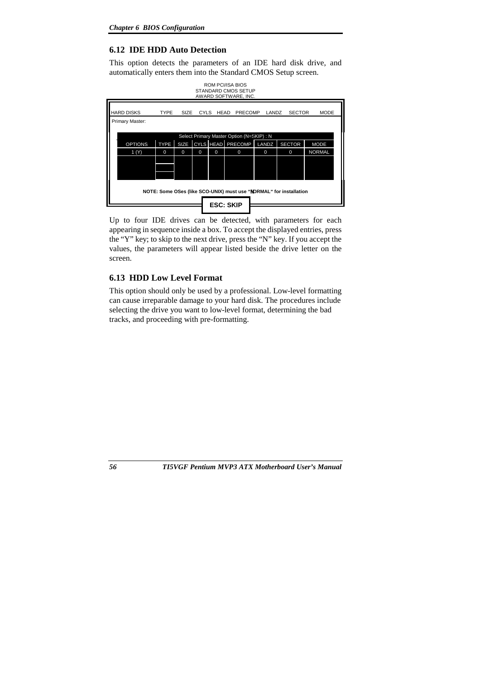# **6.12 IDE HDD Auto Detection**

This option detects the parameters of an IDE hard disk drive, and automatically enters them into the Standard CMOS Setup screen.



Up to four IDE drives can be detected, with parameters for each appearing in sequence inside a box. To accept the displayed entries, press the "Y" key; to skip to the next drive, press the "N" key. If you accept the values, the parameters will appear listed beside the drive letter on the screen.

# **6.13 HDD Low Level Format**

This option should only be used by a professional. Low-level formatting can cause irreparable damage to your hard disk. The procedures include selecting the drive you want to low-level format, determining the bad tracks, and proceeding with pre-formatting.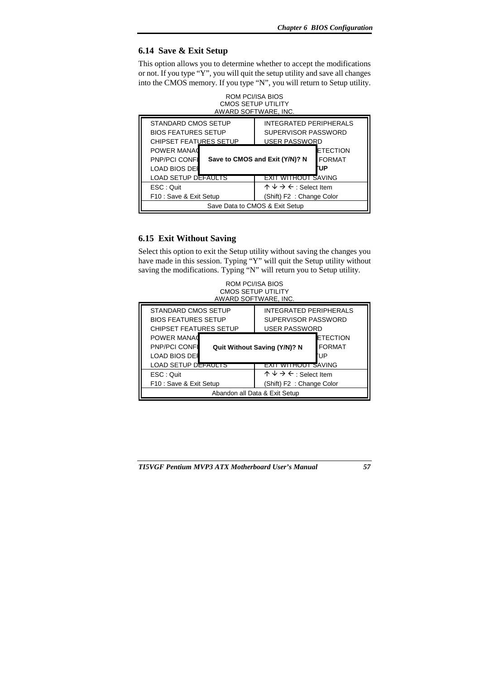# **6.14 Save & Exit Setup**

This option allows you to determine whether to accept the modifications or not. If you type "Y", you will quit the setup utility and save all changes into the CMOS memory. If you type "N", you will return to Setup utility.

|                                                   | ROM PCI/ISA BIOS<br>CMOS SETUP UTILITY<br>AWARD SOFTWARE, INC. |  |
|---------------------------------------------------|----------------------------------------------------------------|--|
| STANDARD CMOS SETUP<br><b>BIOS FEATURES SETUP</b> | <b>INTEGRATED PERIPHERALS</b><br>SUPERVISOR PASSWORD           |  |
| <b>CHIPSET FEATURES SETUP</b>                     | USER PASSWORD                                                  |  |
| POWER MANA0                                       | <b>ETECTION</b>                                                |  |
| <b>PNP/PCI CONFI</b>                              | Save to CMOS and Exit (Y/N)? N<br><b>FORMAT</b>                |  |
| <b>LOAD BIOS DER</b>                              | ΊJΡ                                                            |  |
| <b>LOAD SETUP DEFAULTS</b>                        | EXIT WITHOUT SAVING                                            |  |
| ESC: Quit                                         | $\uparrow \psi \rightarrow \leftarrow$ : Select Item           |  |
| F10 : Save & Exit Setup                           | (Shift) F2: Change Color                                       |  |
| Save Data to CMOS & Exit Setup                    |                                                                |  |

# **6.15 Exit Without Saving**

Select this option to exit the Setup utility without saving the changes you have made in this session. Typing "Y" will quit the Setup utility without saving the modifications. Typing "N" will return you to Setup utility.

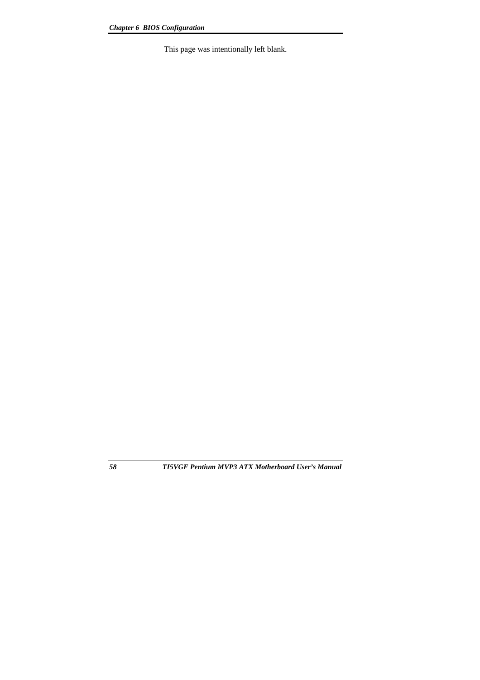This page was intentionally left blank.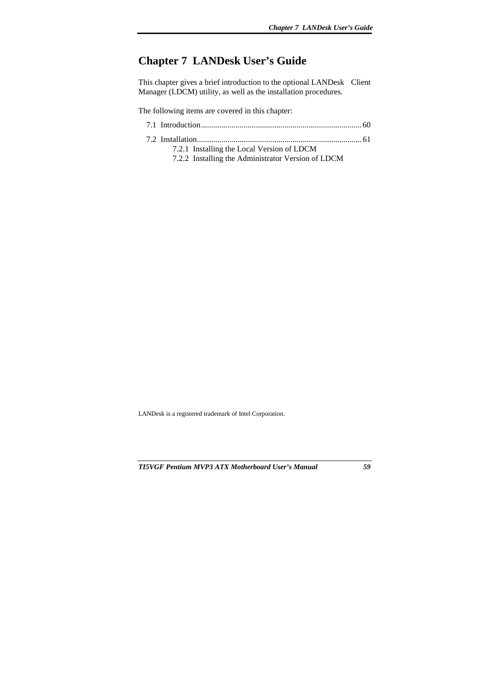# **Chapter 7 LANDesk User's Guide**

This chapter gives a brief introduction to the optional LANDesk® Client Manager (LDCM) utility, as well as the installation procedures.

The following items are covered in this chapter:

| 7.2.1 Installing the Local Version of LDCM         |  |
|----------------------------------------------------|--|
| 7.2.2 Installing the Administrator Version of LDCM |  |

LANDesk is a registered trademark of Intel Corporation.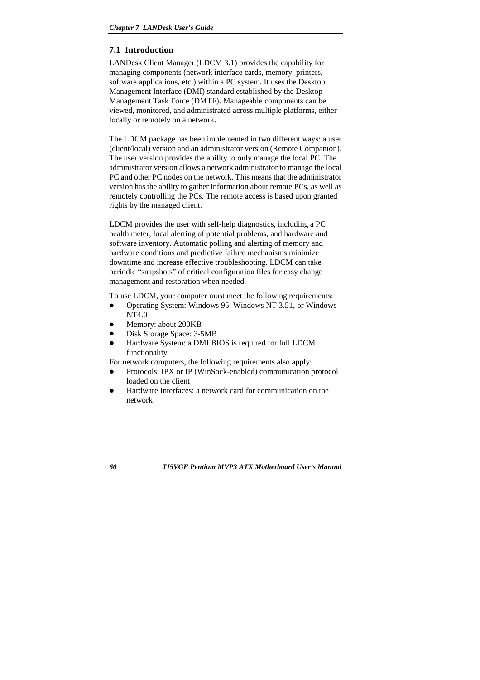# **7.1 Introduction**

LANDesk Client Manager (LDCM 3.1) provides the capability for managing components (network interface cards, memory, printers, software applications, etc.) within a PC system. It uses the Desktop Management Interface (DMI) standard established by the Desktop Management Task Force (DMTF). Manageable components can be viewed, monitored, and administrated across multiple platforms, either locally or remotely on a network.

The LDCM package has been implemented in two different ways: a user (client/local) version and an administrator version (Remote Companion). The user version provides the ability to only manage the local PC. The administrator version allows a network administrator to manage the local PC and other PC nodes on the network. This means that the administrator version has the ability to gather information about remote PCs, as well as remotely controlling the PCs. The remote access is based upon granted rights by the managed client.

LDCM provides the user with self-help diagnostics, including a PC health meter, local alerting of potential problems, and hardware and software inventory. Automatic polling and alerting of memory and hardware conditions and predictive failure mechanisms minimize downtime and increase effective troubleshooting. LDCM can take periodic "snapshots" of critical configuration files for easy change management and restoration when needed.

To use LDCM, your computer must meet the following requirements:

- Operating System: Windows 95, Windows NT 3.51, or Windows NT4.0
- Memory: about 200KB
- Disk Storage Space: 3-5MB
- Hardware System: a DMI BIOS is required for full LDCM functionality

For network computers, the following requirements also apply:

- z Protocols: IPX or IP (WinSock-enabled) communication protocol loaded on the client
- Hardware Interfaces: a network card for communication on the network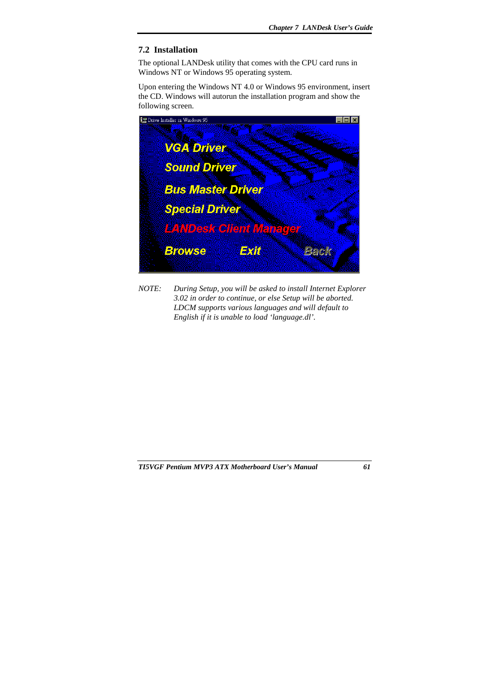# **7.2 Installation**

The optional LANDesk utility that comes with the CPU card runs in Windows NT or Windows 95 operating system.

Upon entering the Windows NT 4.0 or Windows 95 environment, insert the CD. Windows will autorun the installation program and show the following screen.



*NOTE: During Setup, you will be asked to install Internet Explorer 3.02 in order to continue, or else Setup will be aborted. LDCM supports various languages and will default to English if it is unable to load 'language.dl'.*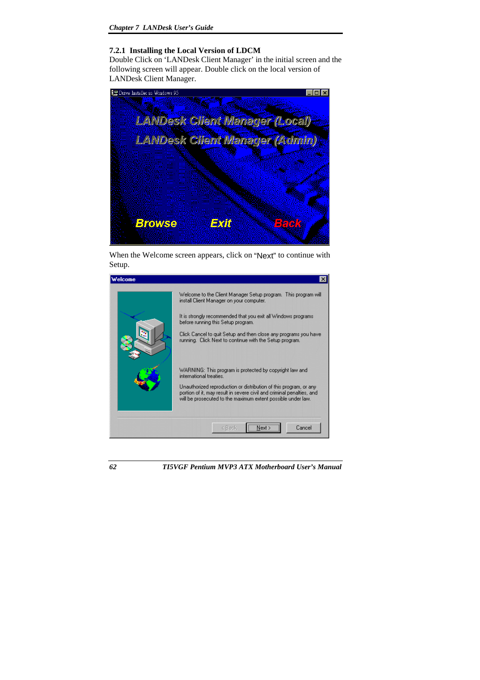# **7.2.1 Installing the Local Version of LDCM**

Double Click on 'LANDesk Client Manager' in the initial screen and the following screen will appear. Double click on the local version of LANDesk Client Manager.



When the Welcome screen appears, click on "Next" to continue with Setup.



| ۰. | ٠<br>I |
|----|--------|
| ٦  | ٦      |
| ï  |        |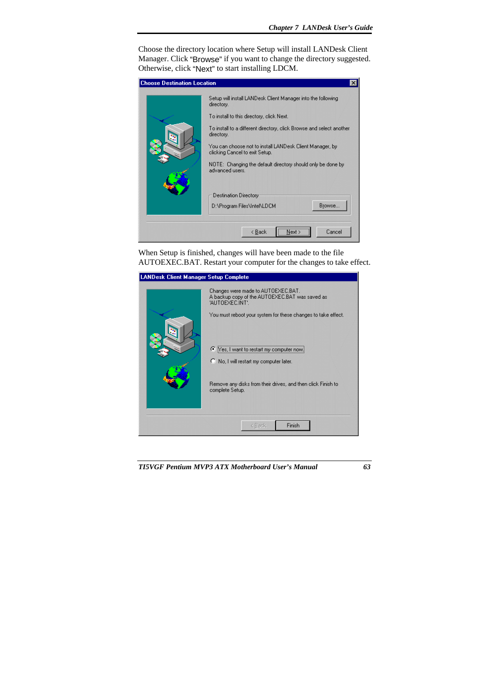Choose the directory location where Setup will install LANDesk Client Manager. Click "Browse" if you want to change the directory suggested. Otherwise, click "Next" to start installing LDCM.

| <b>Choose Destination Location</b> | ×                                                                                          |
|------------------------------------|--------------------------------------------------------------------------------------------|
|                                    | Setup will install LANDesk Client Manager into the following<br>directory.                 |
|                                    | To install to this directory, click Next.                                                  |
|                                    | To install to a different directory, click Browse and select another<br>directory.         |
|                                    | You can choose not to install LANDesk Client Manager, by<br>clicking Cancel to exit Setup. |
|                                    | NOTE: Changing the default directory should only be done by<br>advanced users.             |
|                                    | Destination Directory                                                                      |
|                                    | Browse<br>D:\Program Files\Intel\LDCM                                                      |
|                                    |                                                                                            |
|                                    | Cancel<br>< Back                                                                           |

When Setup is finished, changes will have been made to the file AUTOEXEC.BAT. Restart your computer for the changes to take effect.

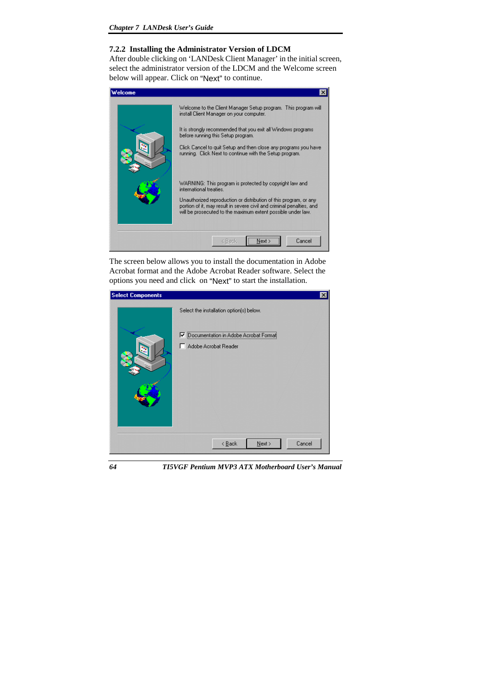# **7.2.2 Installing the Administrator Version of LDCM**

After double clicking on 'LANDesk Client Manager' in the initial screen, select the administrator version of the LDCM and the Welcome screen below will appear. Click on "Next" to continue.



The screen below allows you to install the documentation in Adobe Acrobat format and the Adobe Acrobat Reader software. Select the options you need and click on "Next" to start the installation.

| <b>Select Components</b> | $\boldsymbol{\mathsf{x}}$                                                |
|--------------------------|--------------------------------------------------------------------------|
|                          | Select the installation option(s) below.                                 |
|                          | ⊽<br>Documentation in Adobe Acrobat Format<br>Adobe Acrobat Reader<br>н. |
|                          | $\leq$ $\underline{\mathsf{Back}}$<br>$N$ ext ><br>Cancel                |

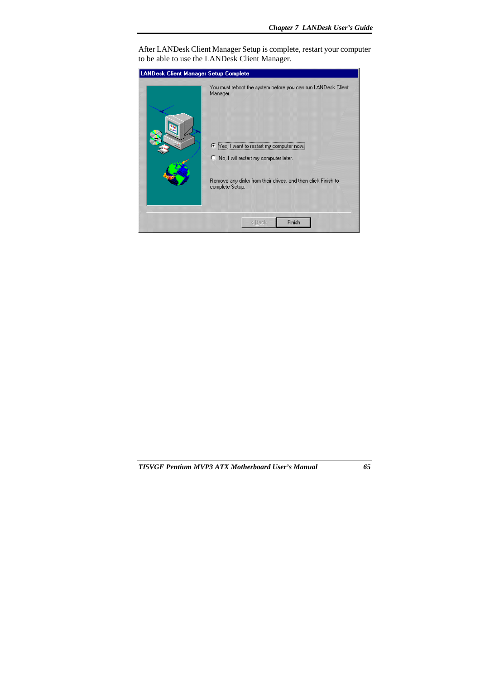After LANDesk Client Manager Setup is complete, restart your computer to be able to use the LANDesk Client Manager.

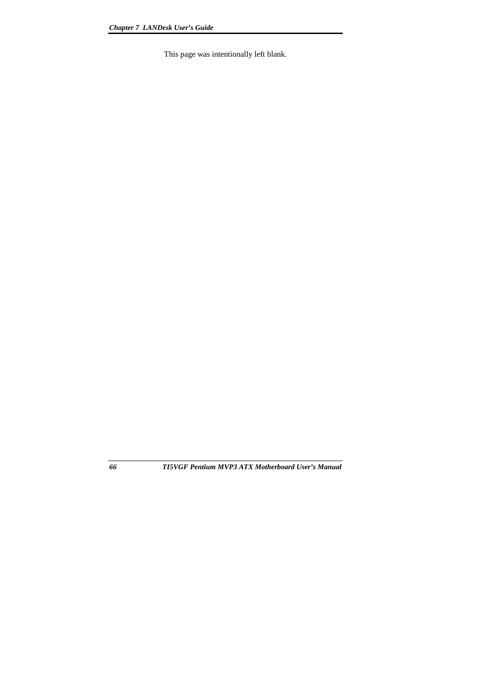This page was intentionally left blank.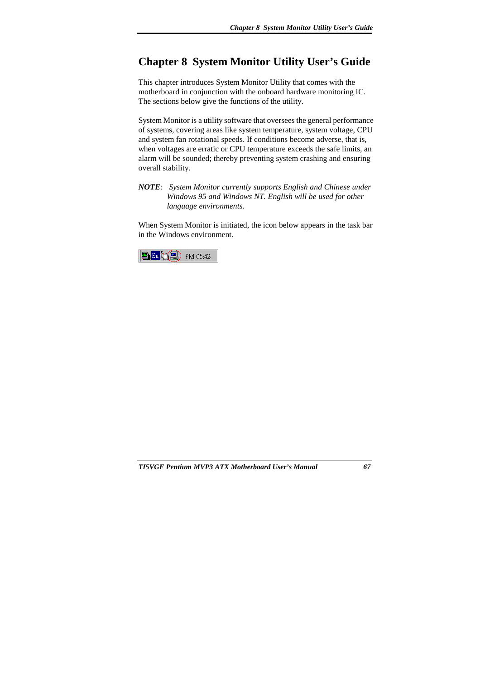# **Chapter 8 System Monitor Utility User's Guide**

This chapter introduces System Monitor Utility that comes with the motherboard in conjunction with the onboard hardware monitoring IC. The sections below give the functions of the utility.

System Monitor is a utility software that oversees the general performance of systems, covering areas like system temperature, system voltage, CPU and system fan rotational speeds. If conditions become adverse, that is, when voltages are erratic or CPU temperature exceeds the safe limits, an alarm will be sounded; thereby preventing system crashing and ensuring overall stability.

*NOTE: System Monitor currently supports English and Chinese under Windows 95 and Windows NT. English will be used for other language environments.* 

When System Monitor is initiated, the icon below appears in the task bar in the Windows environment.

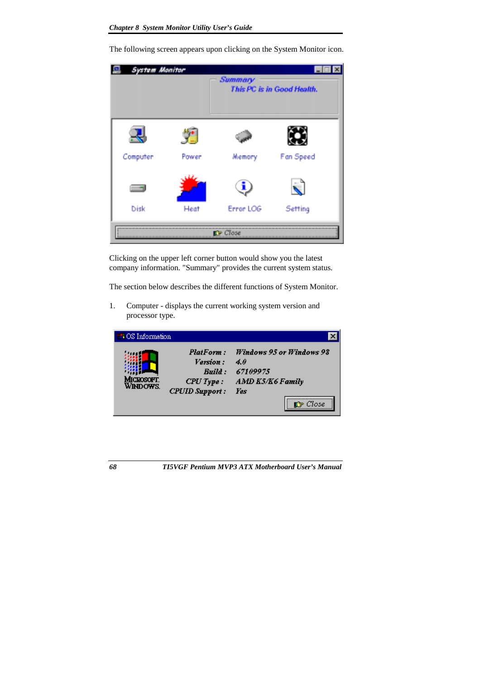The following screen appears upon clicking on the System Monitor icon.



Clicking on the upper left corner button would show you the latest company information. "Summary" provides the current system status.

The section below describes the different functions of System Monitor.

1. Computer - displays the current working system version and processor type.



| ۰. |
|----|
|    |
|    |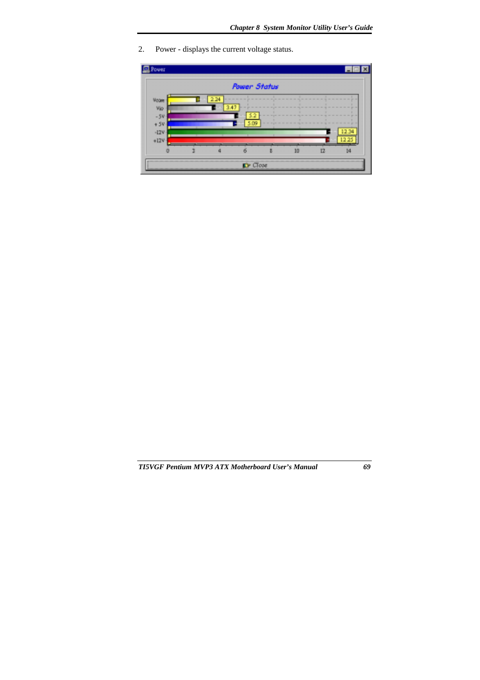2. Power - displays the current voltage status.

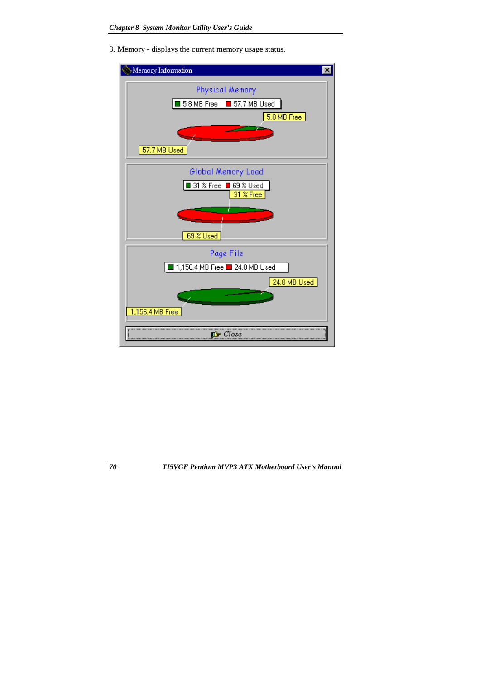3. Memory - displays the current memory usage status.





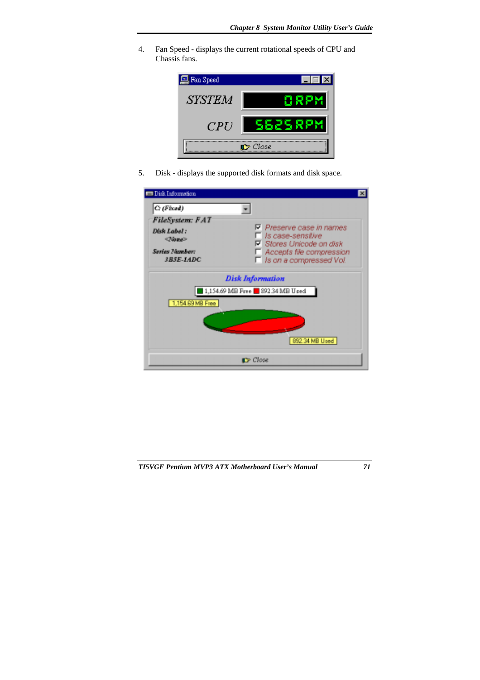4. Fan Speed - displays the current rotational speeds of CPU and Chassis fans.



5. Disk - displays the supported disk formats and disk space.

| C (Fixed)<br>FileSystem: FAT<br>Disk Label:<br><june><br/>Series Mumber:<br/><b>3BSE-1ADC</b></june> | Preserve case in names<br>Is case-sensitive<br><b>F</b> Stores Unicode on disk<br>Accepts file compression<br>I Is on a compressed Vol. |
|------------------------------------------------------------------------------------------------------|-----------------------------------------------------------------------------------------------------------------------------------------|
|                                                                                                      |                                                                                                                                         |
|                                                                                                      |                                                                                                                                         |
| 1.154.69 MB Free                                                                                     | <b>Disk Information</b><br>1,154.69 MB Free 2892.34 MB Used                                                                             |
|                                                                                                      |                                                                                                                                         |
|                                                                                                      | 892.34 MB Used<br><b>D</b> Close                                                                                                        |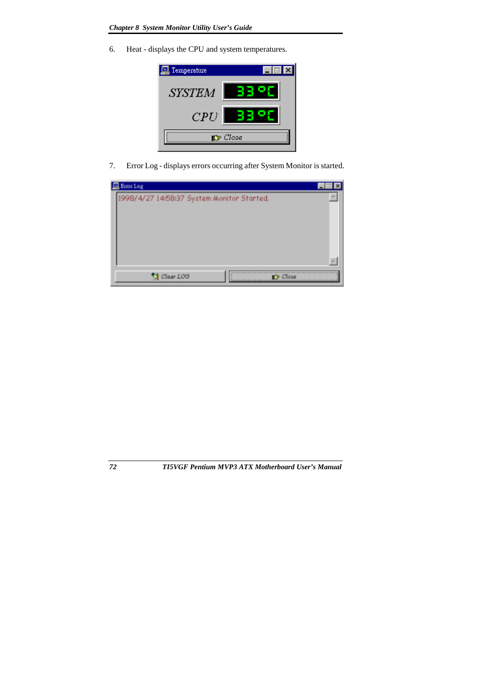6. Heat - displays the CPU and system temperatures.



7. Error Log - displays errors occurring after System Monitor is started.

| 圓<br>Emar Log                              |                 |  |
|--------------------------------------------|-----------------|--|
| 1998/4/27 14:58:37 System Monitor Started. |                 |  |
| Clear LOG                                  | <b>CP</b> Close |  |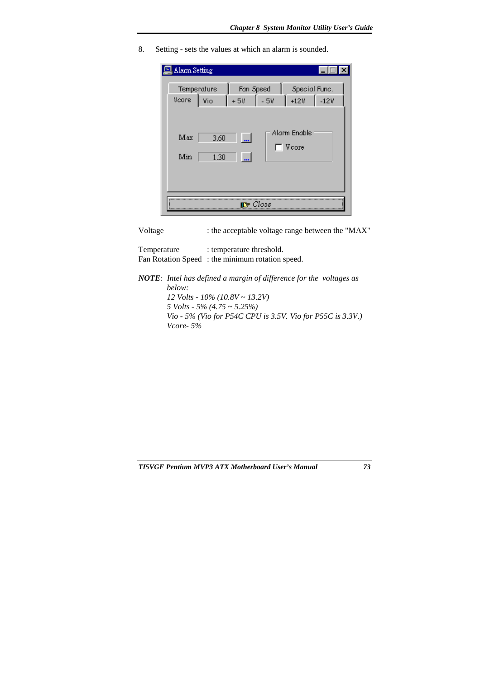8. Setting - sets the values at which an alarm is sounded.

| Alarm Setting<br>Voore | Temperature<br>Vio | Fan Speed<br>  +5V | $-5V$              | Special Func.<br>$+12V$ | $-12V$ |
|------------------------|--------------------|--------------------|--------------------|-------------------------|--------|
| Max<br>Min             | 3.60<br>1.30       |                    |                    | Alarm Enable<br>- Vcore |        |
|                        |                    |                    | $\mathbb{R}$ Close |                         |        |

Voltage : the acceptable voltage range between the "MAX"

Temperature : temperature threshold. Fan Rotation Speed : the minimum rotation speed.

*NOTE: Intel has defined a margin of difference for the voltages as below: 12 Volts - 10% (10.8V ~ 13.2V) 5 Volts - 5% (4.75 ~ 5.25%) Vio - 5% (Vio for P54C CPU is 3.5V. Vio for P55C is 3.3V.) Vcore- 5%* 

*TI5VGF Pentium MVP3 ATX Motherboard User's Manual 73*